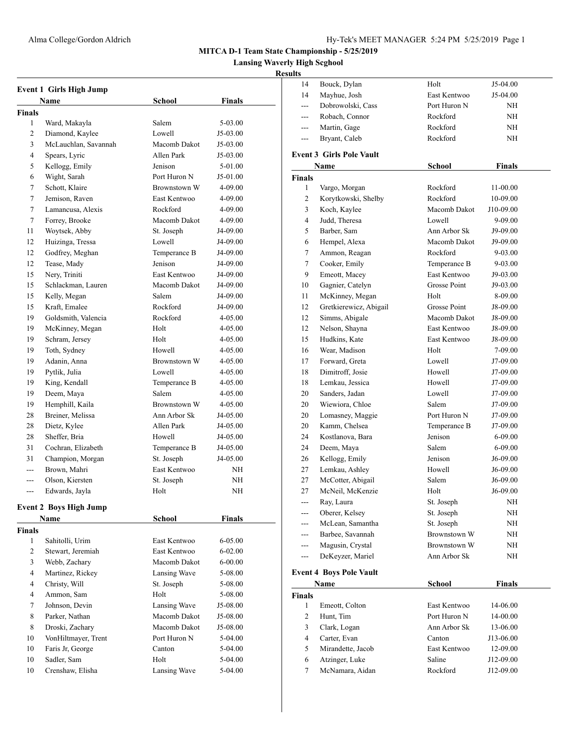**Lansing Waverly High Scghool**

| <b>Event 1 Girls High Jump</b> |                               |              |             |  |
|--------------------------------|-------------------------------|--------------|-------------|--|
|                                | Name                          | School       | Finals      |  |
| <b>Finals</b>                  |                               |              |             |  |
| 1                              | Ward, Makayla                 | Salem        | 5-03.00     |  |
| 2                              | Diamond, Kaylee               | Lowell       | $J5-03.00$  |  |
| 3                              | McLauchlan, Savannah          | Macomb Dakot | J5-03.00    |  |
| 4                              | Spears, Lyric                 | Allen Park   | J5-03.00    |  |
| 5                              | Kellogg, Emily                | Jenison      | 5-01.00     |  |
| 6                              | Wight, Sarah                  | Port Huron N | J5-01.00    |  |
| 7                              | Schott, Klaire                | Brownstown W | 4-09.00     |  |
| 7                              | Jemison, Raven                | East Kentwoo | 4-09.00     |  |
| 7                              | Lamancusa, Alexis             | Rockford     | 4-09.00     |  |
| 7                              | Forrey, Brooke                | Macomb Dakot | 4-09.00     |  |
| 11                             | Woytsek, Abby                 | St. Joseph   | J4-09.00    |  |
| 12                             | Huizinga, Tressa              | Lowell       | J4-09.00    |  |
| 12                             | Godfrey, Meghan               | Temperance B | J4-09.00    |  |
| 12                             | Tease, Mady                   | Jenison      | J4-09.00    |  |
| 15                             | Nery, Triniti                 | East Kentwoo | J4-09.00    |  |
| 15                             | Schlackman, Lauren            | Macomb Dakot | J4-09.00    |  |
| 15                             | Kelly, Megan                  | Salem        | J4-09.00    |  |
| 15                             | Kraft, Emalee                 | Rockford     | J4-09.00    |  |
| 19                             | Goldsmith, Valencia           | Rockford     | $4 - 05.00$ |  |
| 19                             | McKinney, Megan               | Holt         | 4-05.00     |  |
| 19                             | Schram, Jersey                | Holt         | 4-05.00     |  |
| 19                             | Toth, Sydney                  | Howell       | 4-05.00     |  |
| 19                             | Adanin, Anna                  | Brownstown W | 4-05.00     |  |
| 19                             | Pytlik, Julia                 | Lowell       | 4-05.00     |  |
| 19                             | King, Kendall                 | Temperance B | 4-05.00     |  |
| 19                             | Deem, Maya                    | Salem        | 4-05.00     |  |
| 19                             | Hemphill, Kaila               | Brownstown W | 4-05.00     |  |
| 28                             | Breiner, Melissa              | Ann Arbor Sk | J4-05.00    |  |
| 28                             | Dietz, Kylee                  | Allen Park   | J4-05.00    |  |
| 28                             | Sheffer, Bria                 | Howell       | J4-05.00    |  |
| 31                             | Cochran, Elizabeth            | Temperance B | J4-05.00    |  |
| 31                             | Champion, Morgan              | St. Joseph   | J4-05.00    |  |
| $-$                            | Brown, Mahri                  | East Kentwoo | NH          |  |
| ---                            | Olson, Kiersten               | St. Joseph   | NH          |  |
| $---$                          | Edwards, Jayla                | Holt         | NH          |  |
|                                | <b>Event 2 Boys High Jump</b> |              |             |  |
|                                | Name                          | School       | Finals      |  |
| <b>Finals</b>                  |                               |              |             |  |
| 1                              | Sahitolli, Urim               | East Kentwoo | 6-05.00     |  |
| 2                              | Stewart, Jeremiah             | East Kentwoo | 6-02.00     |  |
| 3                              | Webb, Zachary                 | Macomb Dakot | 6-00.00     |  |
| 4                              | Martinez, Rickey              | Lansing Wave | 5-08.00     |  |
| 4                              | Christy, Will                 | St. Joseph   | 5-08.00     |  |
| 4                              | Ammon, Sam                    | Holt         | 5-08.00     |  |
| 7                              | Johnson, Devin                | Lansing Wave | J5-08.00    |  |
| 8                              | Parker, Nathan                | Macomb Dakot | J5-08.00    |  |
| 8                              | Droski, Zachary               | Macomb Dakot | J5-08.00    |  |
| 10                             | VonHiltmayer, Trent           | Port Huron N | 5-04.00     |  |
| 10                             | Faris Jr, George              | Canton       | 5-04.00     |  |
| 10                             | Sadler, Sam                   | Holt         | 5-04.00     |  |
| 10                             | Crenshaw, Elisha              | Lansing Wave | 5-04.00     |  |
|                                |                               |              |             |  |

| шэ             |                                 |                          |               |
|----------------|---------------------------------|--------------------------|---------------|
| 14             | Bouck, Dylan                    | Holt                     | J5-04.00      |
| 14             | Mayhue, Josh                    | East Kentwoo             | J5-04.00      |
| $---$          | Dobrowolski, Cass               | Port Huron N             | NΗ            |
| ---            | Robach, Connor                  | Rockford                 | NΗ            |
| ---            | Martin, Gage                    | Rockford                 | ΝH            |
| $---$          | Bryant, Caleb                   | Rockford                 | ΝH            |
|                | <b>Event 3 Girls Pole Vault</b> |                          |               |
|                | Name                            | <b>School</b>            | <b>Finals</b> |
| <b>Finals</b>  |                                 |                          |               |
| 1              | Vargo, Morgan                   | Rockford                 | 11-00.00      |
| 2              | Korytkowski, Shelby             | Rockford<br>Macomb Dakot | 10-09.00      |
| 3              | Koch, Kaylee                    |                          | J10-09.00     |
| $\overline{4}$ | Judd, Theresa                   | Lowell                   | 9-09.00       |
| 5              | Barber, Sam                     | Ann Arbor Sk             | J9-09.00      |
| 6              | Hempel, Alexa                   | Macomb Dakot             | J9-09.00      |
| 7              | Ammon, Reagan                   | Rockford                 | 9-03.00       |
| 7              | Cooker, Emily                   | Temperance B             | 9-03.00       |
| 9              | Emeott, Macey                   | East Kentwoo             | J9-03.00      |
| 10             | Gagnier, Catelyn                | Grosse Point             | J9-03.00      |
| 11             | McKinney, Megan                 | Holt                     | 8-09.00       |
| 12             | Gretkierewicz, Abigail          | Grosse Point             | J8-09.00      |
| 12             | Simms, Abigale                  | Macomb Dakot             | J8-09.00      |
| 12             | Nelson, Shayna                  | East Kentwoo             | J8-09.00      |
| 15             | Hudkins, Kate                   | East Kentwoo             | J8-09.00      |
| 16             | Wear, Madison                   | Holt                     | 7-09.00       |
| 17             | Forward, Greta                  | Lowell                   | J7-09.00      |
| 18             | Dimitroff, Josie                | Howell                   | J7-09.00      |
| 18             | Lemkau, Jessica                 | Howell                   | J7-09.00      |
| 20             | Sanders, Jadan                  | Lowell                   | J7-09.00      |
| 20             | Wiewiora, Chloe                 | Salem                    | J7-09.00      |
| 20             | Lomasney, Maggie                | Port Huron N             | J7-09.00      |
| 20             | Kamm, Chelsea                   | Temperance B             | J7-09.00      |
| 24             | Kostlanova, Bara                | Jenison                  | 6-09.00       |
| 24             | Deem, Maya                      | Salem                    | 6-09.00       |
| 26             | Kellogg, Emily                  | Jenison                  | $J6-09.00$    |
| 27             | Lemkau, Ashley                  | Howell                   | J6-09.00      |
| 27             | McCotter, Abigail               | Salem                    | J6-09.00      |
| 27             | McNeil, McKenzie                | Holt                     | J6-09.00      |
| ---            | Ray, Laura                      | St. Joseph               | NΗ            |
| ---            | Oberer, Kelsey                  | St. Joseph               | NH            |
|                | McLean, Samantha                | St. Joseph               | NΗ            |
| ---            | Barbee, Savannah                | Brownstown W             | NΗ            |
| ---            | Magusin, Crystal                | Brownstown W             | NΗ            |
| ---            | DeKeyzer, Mariel                | Ann Arbor Sk             | ΝH            |
|                | <b>Event 4 Boys Pole Vault</b>  |                          |               |
|                | Name                            | <b>School</b>            | <b>Finals</b> |
| <b>Finals</b>  |                                 |                          |               |
| 1              | Emeott, Colton                  | East Kentwoo             | 14-06.00      |
| 2              | Hunt, Tim                       | Port Huron N             | 14-00.00      |
| 3              | Clark, Logan                    | Ann Arbor Sk             | 13-06.00      |
| $\overline{4}$ | Carter, Evan                    | Canton                   | J13-06.00     |
| 5              | Mirandette, Jacob               | East Kentwoo             | 12-09.00      |
| 6              | Atzinger, Luke                  | Saline                   | J12-09.00     |
| 7              | McNamara, Aidan                 | Rockford                 | J12-09.00     |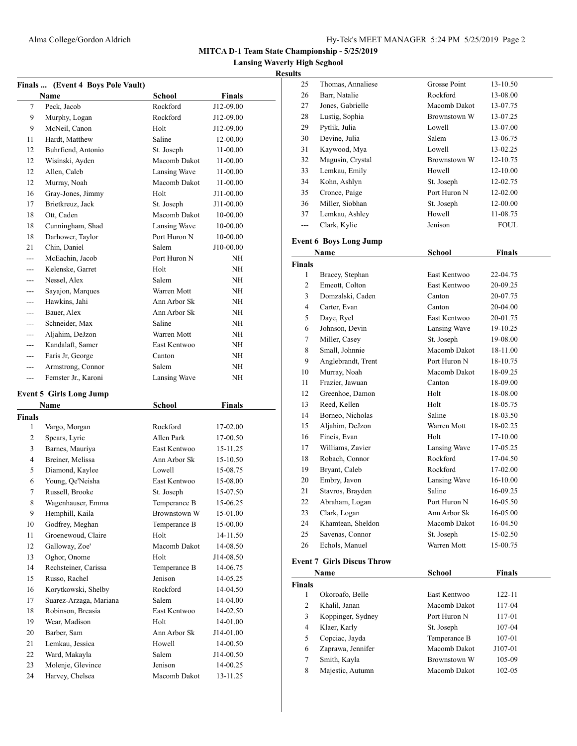**Lansing Waverly High Scghool**

|               | Finals  (Event 4 Boys Pole Vault) |               |               |
|---------------|-----------------------------------|---------------|---------------|
|               | Name                              | <b>School</b> | Finals        |
| 7             | Peck. Jacob                       | Rockford      | J12-09.00     |
| 9             | Murphy, Logan                     | Rockford      | J12-09.00     |
| 9             | McNeil, Canon                     | Holt          | J12-09.00     |
| 11            | Hardt, Matthew                    | Saline        | 12-00.00      |
| 12            | Buhrfiend, Antonio                | St. Joseph    | 11-00.00      |
| 12            | Wisinski, Ayden                   | Macomb Dakot  | 11-00.00      |
| 12            | Allen, Caleb                      | Lansing Wave  | 11-00.00      |
| 12            | Murray, Noah                      | Macomb Dakot  | 11-00.00      |
| 16            | Gray-Jones, Jimmy                 | Holt          | J11-00.00     |
| 17            | Brietkreuz, Jack                  | St. Joseph    | J11-00.00     |
| 18            | Ott, Caden                        | Macomb Dakot  | 10-00.00      |
| 18            | Cunningham, Shad                  | Lansing Wave  | 10-00.00      |
| 18            | Darhower, Taylor                  | Port Huron N  | 10-00.00      |
| 21            | Chin, Daniel                      | Salem         | J10-00.00     |
| $- - -$       | McEachin, Jacob                   | Port Huron N  | NΗ            |
| $---$         | Kelenske, Garret                  | Holt          | ΝH            |
| ---           | Nessel, Alex                      | Salem         | NH            |
| $---$         | Sayajon, Marques                  | Warren Mott   | NΗ            |
| ---           | Hawkins, Jahi                     | Ann Arbor Sk  | ΝH            |
| ---           | Bauer, Alex                       | Ann Arbor Sk  | NΗ            |
| ---           | Schneider, Max                    | Saline        | ΝH            |
| ---           | Aljahim, DeJzon                   | Warren Mott   | NΗ            |
| $---$         | Kandalaft, Samer                  | East Kentwoo  | ΝH            |
| $---$         | Faris Jr, George                  | Canton        | ΝH            |
| ---           | Armstrong, Connor                 | Salem         | ΝH            |
| ---           | Femster Jr., Karoni               | Lansing Wave  | ΝH            |
|               |                                   |               |               |
|               | <b>Event 5 Girls Long Jump</b>    |               |               |
|               | Name                              | School        | <b>Finals</b> |
| <b>Finals</b> |                                   |               |               |
| 1             | Vargo, Morgan                     | Rockford      | 17-02.00      |
| 2             | Spears, Lyric                     | Allen Park    | 17-00.50      |
| 3             | Barnes, Mauriya                   | East Kentwoo  | 15-11.25      |
| 4             | Breiner, Melissa                  | Ann Arbor Sk  | 15-10.50      |
| 5             | Diamond, Kaylee                   | Lowell        | 15-08.75      |
| 6             | Young, Qe'Neisha                  | East Kentwoo  | 15-08.00      |
| 7             | Russell, Brooke                   | St. Joseph    | 15-07.50      |
| 8             | Wagenhauser, Emma                 | Temperance B  | 15-06.25      |
| 9             | Hemphill, Kaila                   | Brownstown W  | 15-01.00      |
| 10            | Godfrey, Meghan                   | Temperance B  | 15-00.00      |
| 11            | Groenewoud, Claire                | Holt          | 14-11.50      |
| 12            | Galloway, Zoe'                    | Macomb Dakot  | 14-08.50      |
| 13            | Oghor, Onome                      | Holt          | J14-08.50     |
| 14            | Rechsteiner, Carissa              | Temperance B  | 14-06.75      |
| 15            | Russo, Rachel                     | Jenison       | 14-05.25      |
| 16            | Korytkowski, Shelby               | Rockford      | 14-04.50      |
| 17            | Suarez-Arzaga, Mariana            | Salem         | 14-04.00      |
| 18            | Robinson, Breasia                 | East Kentwoo  | 14-02.50      |
| 19            | Wear, Madison                     | Holt          | 14-01.00      |
| 20            | Barber, Sam                       | Ann Arbor Sk  | J14-01.00     |
| 21            | Lemkau, Jessica                   | Howell        | 14-00.50      |
| 22            | Ward, Makayla                     | Salem         | J14-00.50     |
| 23            | Molenje, Glevince                 | Jenison       | 14-00.25      |
| 24            | Harvey, Chelsea                   | Macomb Dakot  | 13-11.25      |

| 25             | Thomas, Annaliese                 | <b>Grosse Point</b> | 13-10.50    |
|----------------|-----------------------------------|---------------------|-------------|
| 26             | Barr, Natalie                     | Rockford            | 13-08.00    |
| 27             | Jones, Gabrielle                  | Macomb Dakot        | 13-07.75    |
| 28             | Lustig, Sophia                    | Brownstown W        | 13-07.25    |
| 29             | Pytlik, Julia                     | Lowell              | 13-07.00    |
| 30             | Devine, Julia                     | Salem               | 13-06.75    |
| 31             | Kaywood, Mya                      | Lowell              | 13-02.25    |
| 32             | Magusin, Crystal                  | <b>Brownstown W</b> | 12-10.75    |
| 33             | Lemkau, Emily                     | Howell              | 12-10.00    |
| 34             | Kohn, Ashlyn                      | St. Joseph          | 12-02.75    |
| 35             | Cronce, Paige                     | Port Huron N        | 12-02.00    |
| 36             | Miller, Siobhan                   | St. Joseph          | 12-00.00    |
| 37             | Lemkau, Ashley                    | Howell              | 11-08.75    |
| $\overline{a}$ | Clark, Kylie                      | Jenison             | <b>FOUL</b> |
|                | <b>Event 6 Boys Long Jump</b>     |                     |             |
|                | Name                              | School              | Finals      |
| <b>Finals</b>  |                                   |                     |             |
| $\mathbf{1}$   | Bracey, Stephan                   | East Kentwoo        | 22-04.75    |
| 2              | Emeott, Colton                    | East Kentwoo        | 20-09.25    |
| 3              | Domzalski, Caden                  | Canton              | 20-07.75    |
| 4              | Carter, Evan                      | Canton              | 20-04.00    |
| 5              | Daye, Ryel                        | East Kentwoo        | 20-01.75    |
| 6              | Johnson, Devin                    | Lansing Wave        | 19-10.25    |
| 7              | Miller, Casey                     | St. Joseph          | 19-08.00    |
| 8              | Small, Johnnie                    | Macomb Dakot        | 18-11.00    |
| 9              | Anglebrandt, Trent                | Port Huron N        | 18-10.75    |
| 10             | Murray, Noah                      | Macomb Dakot        | 18-09.25    |
| 11             | Frazier, Jawuan                   | Canton              | 18-09.00    |
| 12             | Greenhoe, Damon                   | Holt                | 18-08.00    |
| 13             | Reed, Kellen                      | Holt                | 18-05.75    |
| 14             | Borneo, Nicholas                  | Saline              | 18-03.50    |
| 15             | Aljahim, DeJzon                   | Warren Mott         | 18-02.25    |
| 16             | Fineis, Evan                      | Holt                | 17-10.00    |
| 17             | Williams, Zavier                  | Lansing Wave        | 17-05.25    |
| 18             | Robach, Connor                    | Rockford            | 17-04.50    |
| 19             | Bryant, Caleb                     | Rockford            | 17-02.00    |
| 20             | Embry, Javon                      | Lansing Wave        | 16-10.00    |
| 21             | Stavros, Brayden                  | Saline              | 16-09.25    |
| 22             | Abraham, Logan                    | Port Huron N        | 16-05.50    |
| 23             | Clark, Logan                      | Ann Arbor Sk        | 16-05.00    |
| 24             | Khamtean, Sheldon                 | Macomb Dakot        | 16-04.50    |
| 25             | Savenas, Connor                   | St. Joseph          | 15-02.50    |
| 26             | Echols, Manuel                    | Warren Mott         | 15-00.75    |
|                |                                   |                     |             |
|                | <b>Event 7 Girls Discus Throw</b> |                     |             |

|               | Name              | School       | Finals  |  |
|---------------|-------------------|--------------|---------|--|
| <b>Finals</b> |                   |              |         |  |
|               | Okoroafo, Belle   | East Kentwoo | 122-11  |  |
| 2             | Khalil, Janan     | Macomb Dakot | 117-04  |  |
| 3             | Koppinger, Sydney | Port Huron N | 117-01  |  |
| 4             | Klaer, Karly      | St. Joseph   | 107-04  |  |
| 5             | Copciac, Jayda    | Temperance B | 107-01  |  |
| 6             | Zaprawa, Jennifer | Macomb Dakot | J107-01 |  |
| 7             | Smith, Kayla      | Brownstown W | 105-09  |  |
| 8             | Majestic, Autumn  | Macomb Dakot | 102-05  |  |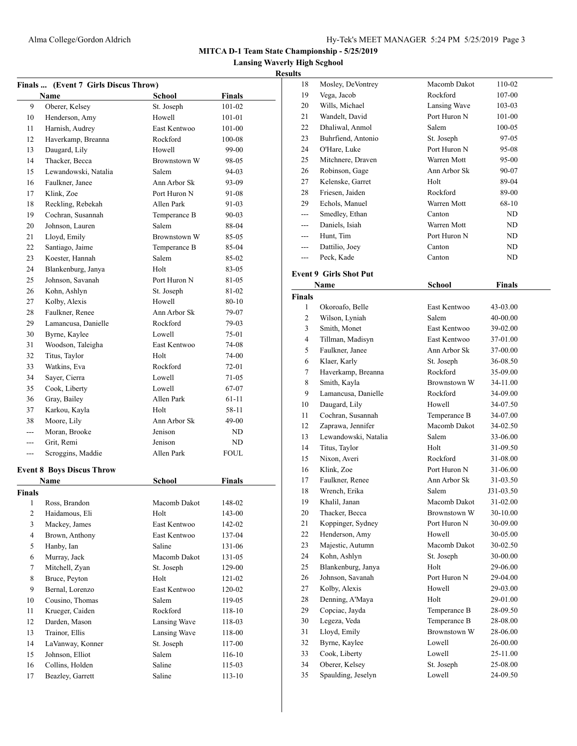**Lansing Waverly High Scghool**

| Finals  (Event 7 Girls Discus Throw) |                                  |                    |               |  |
|--------------------------------------|----------------------------------|--------------------|---------------|--|
|                                      | Name                             | <b>School</b>      | <b>Finals</b> |  |
| 9                                    | Oberer, Kelsey                   | St. Joseph         | 101-02        |  |
| 10                                   | Henderson, Amy                   | Howell             | 101-01        |  |
| 11                                   | Harnish, Audrey                  | East Kentwoo       | 101-00        |  |
| 12                                   | Haverkamp, Breanna               | Rockford           | 100-08        |  |
| 13                                   | Daugard, Lily                    | Howell             | 99-00         |  |
| 14                                   | Thacker, Becca                   | Brownstown W       | 98-05         |  |
| 15                                   | Lewandowski, Natalia             | Salem              | 94-03         |  |
| 16                                   | Faulkner, Janee                  | Ann Arbor Sk       | 93-09         |  |
| 17                                   | Klink, Zoe                       | Port Huron N       | 91-08         |  |
| 18                                   | Reckling, Rebekah                | Allen Park         | 91-03         |  |
| 19                                   | Cochran, Susannah                | Temperance B       | $90 - 03$     |  |
| 20                                   | Johnson, Lauren                  | Salem              | 88-04         |  |
| 21                                   | Lloyd, Emily                     | Brownstown W       | 85-05         |  |
| 22                                   | Santiago, Jaime                  | Temperance B       | 85-04         |  |
| 23                                   | Koester, Hannah                  | Salem              | 85-02         |  |
| 24                                   | Blankenburg, Janya               | Holt               | 83-05         |  |
| 25                                   | Johnson, Savanah                 | Port Huron N       | 81-05         |  |
| 26                                   | Kohn, Ashlyn                     | St. Joseph         | 81-02         |  |
| 27                                   | Kolby, Alexis                    | Howell             | 80-10         |  |
| 28                                   | Faulkner, Renee                  | Ann Arbor Sk       | 79-07         |  |
| 29                                   | Lamancusa, Danielle              | Rockford           | 79-03         |  |
| 30                                   | Byrne, Kaylee                    | Lowell             | 75-01         |  |
| 31                                   | Woodson, Taleigha                | East Kentwoo       | 74-08         |  |
| 32                                   | Titus, Taylor                    | Holt               | 74-00         |  |
| 33                                   | Watkins, Eva                     | Rockford           | 72-01         |  |
| 34                                   | Sayer, Cierra                    | Lowell             | 71-05         |  |
| 35                                   | Cook, Liberty                    | Lowell             | 67-07         |  |
| 36                                   | Gray, Bailey                     | Allen Park         | 61-11         |  |
| 37                                   | Karkou, Kayla                    | Holt               | 58-11         |  |
| 38                                   | Moore, Lily                      | Ann Arbor Sk       | 49-00         |  |
| $---$                                | Moran, Brooke                    | Jenison            | ND            |  |
| $---$                                | Grit, Remi                       | Jenison            | ND            |  |
| $---$                                | Scroggins, Maddie                | Allen Park         | FOUL          |  |
|                                      | <b>Event 8 Boys Discus Throw</b> |                    |               |  |
|                                      | Name                             | <b>School</b>      | Finals        |  |
|                                      |                                  |                    |               |  |
| Finals<br>$\mathbf{1}$               | Ross, Brandon                    | Macomb Dakot       | 148-02        |  |
| $\mathbf{2}$                         | Haidamous, Eli                   | Holt               | 143-00        |  |
| 3                                    | Mackey, James                    | East Kentwoo       | 142-02        |  |
| $\overline{4}$                       | Brown, Anthony                   | East Kentwoo       | 137-04        |  |
| 5                                    | Hanby, Ian                       | Saline             | 131-06        |  |
|                                      | Murray, Jack                     |                    |               |  |
| 6                                    |                                  | Macomb Dakot       | 131-05        |  |
| 7<br>8                               | Mitchell, Zyan<br>Bruce, Peyton  | St. Joseph<br>Holt | 129-00        |  |
|                                      |                                  |                    | 121-02        |  |
| 9                                    | Bernal, Lorenzo                  | East Kentwoo       | 120-02        |  |
| 10                                   | Cousino, Thomas                  | Salem              | 119-05        |  |
| 11                                   | Krueger, Caiden                  | Rockford           | 118-10        |  |
| 12                                   | Darden, Mason                    | Lansing Wave       | 118-03        |  |
| 13                                   | Trainor, Ellis                   | Lansing Wave       | 118-00        |  |
| 14                                   | LaVanway, Konner                 | St. Joseph         | 117-00        |  |
| 15                                   | Johnson, Elliot                  | Salem              | 116-10        |  |
| 16                                   | Collins, Holden                  | Saline             | 115-03        |  |
| 17                                   | Beazley, Garrett                 | Saline             | 113-10        |  |

| 18            | Mosley, DeVontrey             | Macomb Dakot        | 110-02    |  |
|---------------|-------------------------------|---------------------|-----------|--|
| 19            | Vega, Jacob                   | Rockford            | 107-00    |  |
| 20            | Wills, Michael                | Lansing Wave        | 103-03    |  |
| 21            | Wandelt, David                | Port Huron N        | 101-00    |  |
| 22            | Dhaliwal, Anmol               | Salem               | 100-05    |  |
| 23            | Buhrfiend, Antonio            | St. Joseph          | 97-05     |  |
| 24            | O'Hare, Luke                  | Port Huron N        | 95-08     |  |
| 25            | Mitchnere, Draven             | Warren Mott         | 95-00     |  |
| 26            | Robinson, Gage                | Ann Arbor Sk        | 90-07     |  |
| 27            | Kelenske, Garret              | Holt                | 89-04     |  |
| 28            | Friesen, Jaiden               | Rockford            | 89-00     |  |
| 29            | Echols, Manuel                | Warren Mott         | $68-10$   |  |
| ---           | Smedley, Ethan                | Canton              | ND        |  |
| ---           | Daniels, Isiah                | Warren Mott         | ND        |  |
| $---$         | Hunt, Tim                     | Port Huron N        | ND        |  |
| ---           | Dattilio, Joey                | Canton              | ND        |  |
| $---$         | Peck, Kade                    | Canton              | ND        |  |
|               |                               |                     |           |  |
|               | <b>Event 9 Girls Shot Put</b> |                     |           |  |
|               | Name                          | School              | Finals    |  |
| <b>Finals</b> |                               |                     |           |  |
| 1             | Okoroafo, Belle               | East Kentwoo        | 43-03.00  |  |
| 2             | Wilson, Lyniah                | Salem               | 40-00.00  |  |
| 3             | Smith, Monet                  | East Kentwoo        | 39-02.00  |  |
| 4             | Tillman, Madisyn              | East Kentwoo        | 37-01.00  |  |
| 5             | Faulkner, Janee               | Ann Arbor Sk        | 37-00.00  |  |
| 6             | Klaer, Karly                  | St. Joseph          | 36-08.50  |  |
| 7             | Haverkamp, Breanna            | Rockford            | 35-09.00  |  |
| 8             | Smith, Kayla                  | <b>Brownstown W</b> | 34-11.00  |  |
| 9             | Lamancusa, Danielle           | Rockford            | 34-09.00  |  |
| 10            | Daugard, Lily                 | Howell              | 34-07.50  |  |
| 11            | Cochran, Susannah             | Temperance B        | 34-07.00  |  |
| 12            | Zaprawa, Jennifer             | Macomb Dakot        | 34-02.50  |  |
| 13            | Lewandowski, Natalia          | Salem               | 33-06.00  |  |
| 14            | Titus, Taylor                 | Holt                | 31-09.50  |  |
| 15            | Nixon, Averi                  | Rockford            | 31-08.00  |  |
| 16            | Klink, Zoe                    | Port Huron N        | 31-06.00  |  |
| 17            | Faulkner, Renee               | Ann Arbor Sk        | 31-03.50  |  |
| 18            | Wrench, Erika                 | Salem               | J31-03.50 |  |
| 19            | Khalil, Janan                 | Macomb Dakot        | 31-02.00  |  |
| 20            | Thacker, Becca                | Brownstown W        | 30-10.00  |  |
| 21            | Koppinger, Sydney             | Port Huron N        | 30-09.00  |  |
| 22            | Henderson, Amy                | Howell              | 30-05.00  |  |
| 23            | Majestic, Autumn              | Macomb Dakot        | 30-02.50  |  |
| 24            | Kohn, Ashlyn                  | St. Joseph          | 30-00.00  |  |
| 25            | Blankenburg, Janya            | Holt                | 29-06.00  |  |
| 26            | Johnson, Savanah              | Port Huron N        | 29-04.00  |  |
| 27            | Kolby, Alexis                 | Howell              | 29-03.00  |  |
| 28            | Denning, A'Maya               | Holt                | 29-01.00  |  |
| 29            | Copciac, Jayda                | Temperance B        | 28-09.50  |  |
| 30            | Legeza, Veda                  | Temperance B        | 28-08.00  |  |
| 31            | Lloyd, Emily                  | Brownstown W        | 28-06.00  |  |
| 32            | Byrne, Kaylee                 | Lowell              | 26-00.00  |  |
| 33            | Cook, Liberty                 | Lowell              | 25-11.00  |  |
| 34            | Oberer, Kelsey                | St. Joseph          | 25-08.00  |  |
| 35            | Spaulding, Jeselyn            | Lowell              | 24-09.50  |  |
|               |                               |                     |           |  |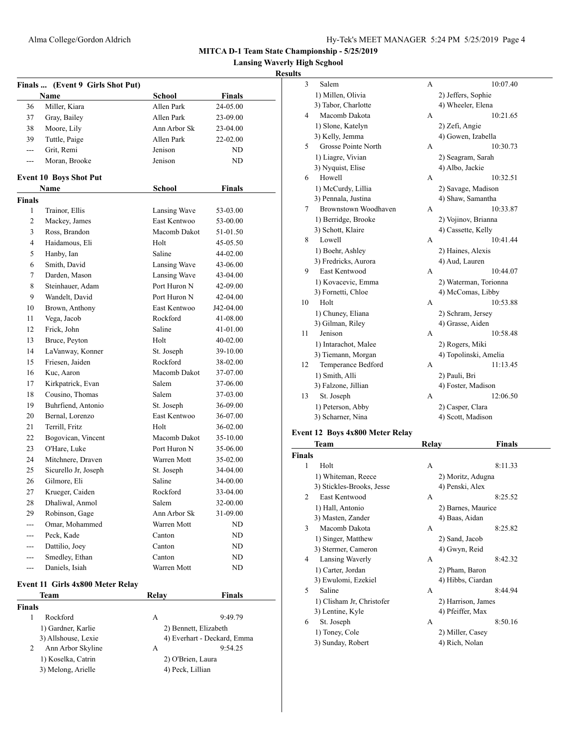**Lansing Waverly High Scghool**

# **Results**

|               | Finals  (Event 9 Girls Shot Put) |                       |                             |
|---------------|----------------------------------|-----------------------|-----------------------------|
|               | Name                             | School                | <b>Finals</b>               |
| 36            | Miller, Kiara                    | Allen Park            | 24-05.00                    |
| 37            | Gray, Bailey                     | Allen Park            | 23-09.00                    |
| 38            | Moore, Lily                      | Ann Arbor Sk          | $23-04.00$                  |
| 39            | Tuttle, Paige                    | Allen Park            | 22-02.00                    |
| ---           | Grit, Remi                       | Jenison               | ND                          |
| ---           | Moran, Brooke                    | Jenison               | ND                          |
|               | <b>Event 10 Boys Shot Put</b>    |                       |                             |
|               | Name                             | School                | Finals                      |
| <b>Finals</b> |                                  |                       |                             |
| 1             | Trainor, Ellis                   | Lansing Wave          | 53-03.00                    |
| 2             | Mackey, James                    | East Kentwoo          | 53-00.00                    |
| 3             | Ross, Brandon                    | Macomb Dakot          | 51-01.50                    |
| 4             | Haidamous, Eli                   | Holt                  | 45-05.50                    |
| 5             | Hanby, Ian                       | Saline                | 44-02.00                    |
| 6             | Smith, David                     | Lansing Wave          | 43-06.00                    |
| 7             | Darden, Mason                    | Lansing Wave          | $43 - 04.00$                |
| 8             | Steinhauer, Adam                 | Port Huron N          | 42-09.00                    |
| 9             | Wandelt, David                   | Port Huron N          | $42 - 04.00$                |
| 10            | Brown, Anthony                   | East Kentwoo          | J42-04.00                   |
| 11            | Vega, Jacob                      | Rockford              | 41-08.00                    |
| 12            | Frick, John                      | Saline                | $41 - 01.00$                |
| 13            | Bruce, Peyton                    | Holt                  | $40 - 02.00$                |
| 14            | LaVanway, Konner                 | St. Joseph            | 39-10.00                    |
| 15            | Friesen, Jaiden                  | Rockford              | 38-02.00                    |
| 16            | Kuc, Aaron                       | Macomb Dakot          | 37-07.00                    |
| 17            | Kirkpatrick, Evan                | Salem                 | 37-06.00                    |
|               |                                  |                       |                             |
| 18            | Cousino, Thomas                  | Salem                 | 37-03.00                    |
| 19            | Buhrfiend, Antonio               | St. Joseph            | 36-09.00                    |
| 20            | Bernal, Lorenzo                  | East Kentwoo          | 36-07.00                    |
| 21            | Terrill, Fritz                   | Holt                  | 36-02.00                    |
| 22            | Bogovican, Vincent               | Macomb Dakot          | 35-10.00                    |
| 23            | O'Hare, Luke                     | Port Huron N          | 35-06.00                    |
| 24            | Mitchnere, Draven                | Warren Mott           | 35-02.00                    |
| 25            | Sicurello Jr, Joseph             | St. Joseph            | 34-04.00                    |
| 26            | Gilmore, Eli                     | Saline                | 34-00.00                    |
| 27            | Krueger, Caiden                  | Rockford              | 33-04.00                    |
| 28            | Dhaliwal, Anmol                  | Salem                 | 32-00.00                    |
| 29            | Robinson, Gage                   | Ann Arbor Sk          | 31-09.00                    |
| ---           | Omar, Mohammed                   | Warren Mott           | ND                          |
|               | Peck, Kade                       | Canton                | ND                          |
| ---           | Dattilio, Joey                   | Canton                | ND                          |
| ---           | Smedley, Ethan                   | Canton                | ND                          |
| ---           | Daniels, Isiah                   | Warren Mott           | ND                          |
|               | Event 11 Girls 4x800 Meter Relay |                       |                             |
|               | Team                             | <b>Relay</b>          | <b>Finals</b>               |
| <b>Finals</b> |                                  |                       |                             |
| 1             | Rockford                         | А                     | 9:49.79                     |
|               | 1) Gardner, Karlie               | 2) Bennett, Elizabeth |                             |
|               | 3) Allshouse, Lexie              |                       | 4) Everhart - Deckard, Emma |
| 2             | Ann Arbor Skyline                | A                     | 9:54.25                     |
|               | 1) Koselka, Catrin               | 2) O'Brien, Laura     |                             |
|               | 3) Melong, Arielle               | 4) Peck, Lillian      |                             |
|               |                                  |                       |                             |

| ∍  |                      |   |                       |
|----|----------------------|---|-----------------------|
| 3  | Salem                | A | 10:07.40              |
|    | 1) Millen, Olivia    |   | 2) Jeffers, Sophie    |
|    | 3) Tabor, Charlotte  |   | 4) Wheeler, Elena     |
| 4  | Macomb Dakota        | A | 10:21.65              |
|    | 1) Slone, Katelyn    |   | 2) Zefi, Angie        |
|    | 3) Kelly, Jemma      |   | 4) Gowen, Izabella    |
| 5  | Grosse Pointe North  | А | 10:30.73              |
|    | 1) Liagre, Vivian    |   | 2) Seagram, Sarah     |
|    | 3) Nyquist, Elise    |   | 4) Albo, Jackie       |
| 6  | Howell               | A | 10:32.51              |
|    | 1) McCurdy, Lillia   |   | 2) Savage, Madison    |
|    | 3) Pennala, Justina  |   | 4) Shaw, Samantha     |
| 7  | Brownstown Woodhaven | A | 10:33.87              |
|    | 1) Berridge, Brooke  |   | 2) Vojinov, Brianna   |
|    | 3) Schott, Klaire    |   | 4) Cassette, Kelly    |
| 8  | Lowell               | A | 10:41.44              |
|    | 1) Boehr, Ashley     |   | 2) Haines, Alexis     |
|    | 3) Fredricks, Aurora |   | 4) Aud, Lauren        |
| 9  | <b>East Kentwood</b> | A | 10:44.07              |
|    | 1) Kovacevic, Emma   |   | 2) Waterman, Torionna |
|    | 3) Fornetti, Chloe   |   | 4) McComas, Libby     |
| 10 | Holt                 | A | 10:53.88              |
|    | 1) Chuney, Eliana    |   | 2) Schram, Jersey     |
|    | 3) Gilman, Riley     |   | 4) Grasse, Aiden      |
| 11 | Jenison              | A | 10:58.48              |
|    | 1) Intarachot, Malee |   | 2) Rogers, Miki       |
|    | 3) Tiemann, Morgan   |   | 4) Topolinski, Amelia |
| 12 | Temperance Bedford   | A | 11:13.45              |
|    | 1) Smith, Alli       |   | 2) Pauli, Bri         |
|    | 3) Falzone, Jillian  |   | 4) Foster, Madison    |
| 13 | St. Joseph           | A | 12:06.50              |
|    | 1) Peterson, Abby    |   | 2) Casper, Clara      |
|    | 3) Scharner, Nina    |   | 4) Scott, Madison     |
|    |                      |   |                       |

#### **Event 12 Boys 4x800 Meter Relay**

|                | <b>Team</b>               | Relay | Finals             |  |
|----------------|---------------------------|-------|--------------------|--|
| <b>Finals</b>  |                           |       |                    |  |
| 1              | Holt                      | A     | 8:11.33            |  |
|                | 1) Whiteman, Reece        |       | 2) Moritz, Adugna  |  |
|                | 3) Stickles-Brooks, Jesse |       | 4) Penski, Alex    |  |
| $\overline{c}$ | <b>East Kentwood</b>      | A     | 8:25.52            |  |
|                | 1) Hall, Antonio          |       | 2) Barnes, Maurice |  |
|                | 3) Masten, Zander         |       | 4) Baas, Aidan     |  |
| 3              | Macomb Dakota             | A     | 8:25.82            |  |
|                | 1) Singer, Matthew        |       | 2) Sand, Jacob     |  |
|                | 3) Stermer, Cameron       |       | 4) Gwyn, Reid      |  |
| 4              | Lansing Waverly           | A     | 8:42.32            |  |
|                | 1) Carter, Jordan         |       | 2) Pham, Baron     |  |
|                | 3) Ewulomi, Ezekiel       |       | 4) Hibbs, Ciardan  |  |
| 5              | Saline                    | A     | 8:44.94            |  |
|                | 1) Clisham Jr, Christofer |       | 2) Harrison, James |  |
|                | 3) Lentine, Kyle          |       | 4) Pfeiffer, Max   |  |
| 6              | St. Joseph                | A     | 8:50.16            |  |
|                | 1) Toney, Cole            |       | 2) Miller, Casey   |  |
|                | 3) Sunday, Robert         |       | 4) Rich, Nolan     |  |
|                |                           |       |                    |  |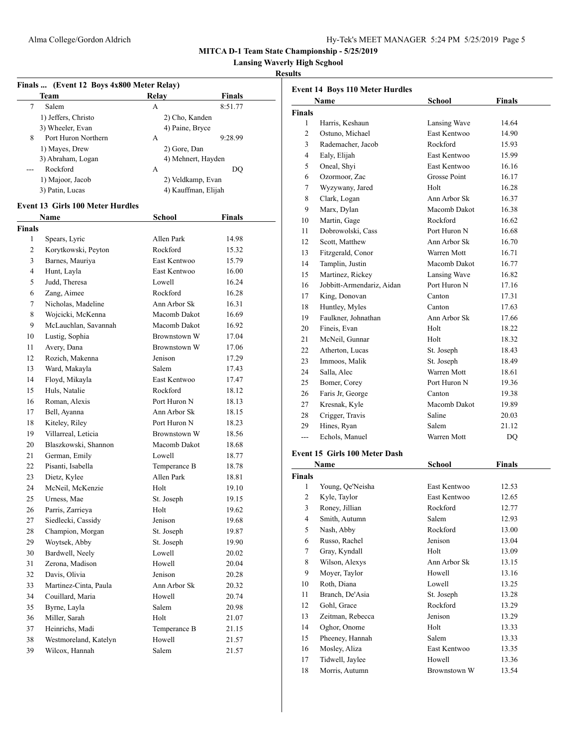**Lansing Waverly High Scghool**

# **Results**

|               | Finals  (Event 12 Boys 4x800 Meter Relay) |                          |         |  |
|---------------|-------------------------------------------|--------------------------|---------|--|
|               | Team                                      | <b>Relay</b>             | Finals  |  |
| 7             | Salem                                     | A                        | 8:51.77 |  |
|               | 1) Jeffers, Christo                       | 2) Cho, Kanden           |         |  |
|               | 3) Wheeler, Evan                          | 4) Paine, Bryce          |         |  |
| 8             | Port Huron Northern                       | А                        | 9:28.99 |  |
|               | 1) Mayes, Drew                            | 2) Gore, Dan             |         |  |
|               | 3) Abraham, Logan                         | 4) Mehnert, Hayden       |         |  |
| $---$         | Rockford                                  | A                        | DQ      |  |
|               | 1) Majoor, Jacob                          | 2) Veldkamp, Evan        |         |  |
|               | 3) Patin, Lucas                           | 4) Kauffman, Elijah      |         |  |
|               | <b>Event 13 Girls 100 Meter Hurdles</b>   |                          |         |  |
|               | Name                                      | School                   | Finals  |  |
| <b>Finals</b> |                                           |                          |         |  |
| 1             | Spears, Lyric                             | Allen Park               | 14.98   |  |
| 2             | Korytkowski, Peyton                       | Rockford                 | 15.32   |  |
| 3             | Barnes, Mauriya                           | East Kentwoo             | 15.79   |  |
| 4             | Hunt, Layla                               | East Kentwoo             | 16.00   |  |
| 5             | Judd, Theresa                             | Lowell                   | 16.24   |  |
|               | Zang, Aimee                               |                          |         |  |
| 6             |                                           | Rockford<br>Ann Arbor Sk | 16.28   |  |
| 7             | Nicholas, Madeline                        |                          | 16.31   |  |
| 8             | Wojcicki, McKenna                         | Macomb Dakot             | 16.69   |  |
| 9             | McLauchlan, Savannah                      | Macomb Dakot             | 16.92   |  |
| 10            | Lustig, Sophia                            | Brownstown W             | 17.04   |  |
| 11            | Avery, Dana                               | Brownstown W             | 17.06   |  |
| 12            | Rozich, Makenna                           | Jenison                  | 17.29   |  |
| 13            | Ward, Makayla                             | Salem                    | 17.43   |  |
| 14            | Floyd, Mikayla                            | East Kentwoo             | 17.47   |  |
| 15            | Huls, Natalie                             | Rockford                 | 18.12   |  |
| 16            | Roman, Alexis                             | Port Huron N             | 18.13   |  |
| 17            | Bell, Ayanna                              | Ann Arbor Sk             | 18.15   |  |
| 18            | Kiteley, Riley                            | Port Huron N             | 18.23   |  |
| 19            | Villarreal, Leticia                       | Brownstown W             | 18.56   |  |
| 20            | Blaszkowski, Shannon                      | Macomb Dakot             | 18.68   |  |
| 21            | German, Emily                             | Lowell                   | 18.77   |  |
| 22            | Pisanti, Isabella                         | Temperance B             | 18.78   |  |
| 23            | Dietz, Kylee                              | Allen Park               | 18.81   |  |
| 24            | McNeil, McKenzie                          | Holt                     | 19.10   |  |
| 25            | Urness, Mae                               | St. Joseph               | 19.15   |  |
| 26            | Parris, Zarrieya                          | Holt                     | 19.62   |  |
| 27            | Siedlecki, Cassidy                        | Jenison                  | 19.68   |  |
| 28            | Champion, Morgan                          | St. Joseph               | 19.87   |  |
| 29            | Woytsek, Abby                             | St. Joseph               | 19.90   |  |
| 30            | Bardwell, Neely                           | Lowell                   | 20.02   |  |
| 31            | Zerona, Madison                           | Howell                   | 20.04   |  |
| 32            | Davis, Olivia                             | Jenison                  | 20.28   |  |
| 33            | Martinez-Cinta, Paula                     | Ann Arbor Sk             | 20.32   |  |
| 34            | Couillard, Maria                          | Howell                   | 20.74   |  |
| 35            | Byrne, Layla                              | Salem                    | 20.98   |  |
|               |                                           |                          |         |  |
| 36            | Miller, Sarah                             | Holt                     | 21.07   |  |
| 37            | Heinrichs, Madi                           | Temperance B             | 21.15   |  |
| 38            | Westmoreland, Katelyn                     | Howell                   | 21.57   |  |
| 39            | Wilcox, Hannah                            | Salem                    | 21.57   |  |
|               |                                           |                          |         |  |

|                                 | <b>Event 14 Boys 110 Meter Hurdles</b>        |                     |       |  |  |
|---------------------------------|-----------------------------------------------|---------------------|-------|--|--|
| School<br><b>Finals</b><br>Name |                                               |                     |       |  |  |
| <b>Finals</b>                   |                                               |                     |       |  |  |
| 1                               | Harris, Keshaun                               | Lansing Wave        | 14.64 |  |  |
| 2                               | Ostuno, Michael                               | East Kentwoo        | 14.90 |  |  |
| 3                               | Rademacher, Jacob                             | Rockford            | 15.93 |  |  |
| 4                               | Ealy, Elijah                                  | East Kentwoo        | 15.99 |  |  |
| 5                               | Oneal, Shyi                                   | East Kentwoo        | 16.16 |  |  |
| 6                               | Ozormoor, Zac                                 | <b>Grosse Point</b> | 16.17 |  |  |
| 7                               | Wyzywany, Jared                               | Holt                | 16.28 |  |  |
| 8                               | Clark, Logan                                  | Ann Arbor Sk        | 16.37 |  |  |
| 9                               | Marx, Dylan                                   | Macomb Dakot        | 16.38 |  |  |
| 10                              | Martin, Gage                                  | Rockford            | 16.62 |  |  |
| 11                              | Dobrowolski, Cass                             | Port Huron N        | 16.68 |  |  |
| 12                              | Scott, Matthew                                | Ann Arbor Sk        | 16.70 |  |  |
| 13                              | Fitzgerald, Conor                             | Warren Mott         | 16.71 |  |  |
| 14                              | Tamplin, Justin                               | Macomb Dakot        | 16.77 |  |  |
| 15                              | Martinez, Rickey                              | Lansing Wave        | 16.82 |  |  |
| 16                              | Jobbitt-Armendariz, Aidan                     | Port Huron N        | 17.16 |  |  |
| 17                              | King, Donovan                                 | Canton              | 17.31 |  |  |
| 18                              | Huntley, Myles                                | Canton              | 17.63 |  |  |
| 19                              | Faulkner, Johnathan                           | Ann Arbor Sk        | 17.66 |  |  |
| 20                              | Fineis, Evan                                  | Holt                | 18.22 |  |  |
| 21                              | McNeil, Gunnar                                | Holt                | 18.32 |  |  |
| 22                              | Atherton, Lucas                               | St. Joseph          | 18.43 |  |  |
| 23                              | Immoos, Malik                                 | St. Joseph          | 18.49 |  |  |
| 24                              | Salla, Alec                                   | Warren Mott         | 18.61 |  |  |
| 25                              | Bomer, Corey                                  | Port Huron N        | 19.36 |  |  |
| 26                              | Faris Jr, George                              | Canton              | 19.38 |  |  |
| 27                              | Kresnak, Kyle                                 | Macomb Dakot        | 19.89 |  |  |
| 28                              | Crigger, Travis                               | Saline              | 20.03 |  |  |
| 29                              | Hines, Ryan                                   | Salem               | 21.12 |  |  |
| ---                             | Echols, Manuel                                | Warren Mott         | DQ    |  |  |
|                                 | $\sqrt{15}$ $\alpha$ 1 $\sqrt{100 \text{ M}}$ |                     |       |  |  |

# **Event 15 Girls 100 Meter Dash**

|                | Name             | School              | Finals |
|----------------|------------------|---------------------|--------|
| <b>Finals</b>  |                  |                     |        |
| 1              | Young, Qe'Neisha | East Kentwoo        | 12.53  |
| $\overline{c}$ | Kyle, Taylor     | East Kentwoo        | 12.65  |
| 3              | Roney, Jillian   | Rockford            | 12.77  |
| 4              | Smith, Autumn    | Salem               | 12.93  |
| 5              | Nash, Abby       | Rockford            | 13.00  |
| 6              | Russo, Rachel    | Jenison             | 13.04  |
| 7              | Gray, Kyndall    | Holt                | 13.09  |
| 8              | Wilson, Alexys   | Ann Arbor Sk        | 13.15  |
| 9              | Moyer, Taylor    | Howell              | 13.16  |
| 10             | Roth, Diana      | Lowell              | 13.25  |
| 11             | Branch, De'Asia  | St. Joseph          | 13.28  |
| 12             | Gohl, Grace      | Rockford            | 13.29  |
| 13             | Zeitman, Rebecca | Jenison             | 13.29  |
| 14             | Oghor, Onome     | Holt                | 13.33  |
| 15             | Pheeney, Hannah  | Salem               | 13.33  |
| 16             | Mosley, Aliza    | East Kentwoo        | 13.35  |
| 17             | Tidwell, Jaylee  | Howell              | 13.36  |
| 18             | Morris, Autumn   | <b>Brownstown W</b> | 13.54  |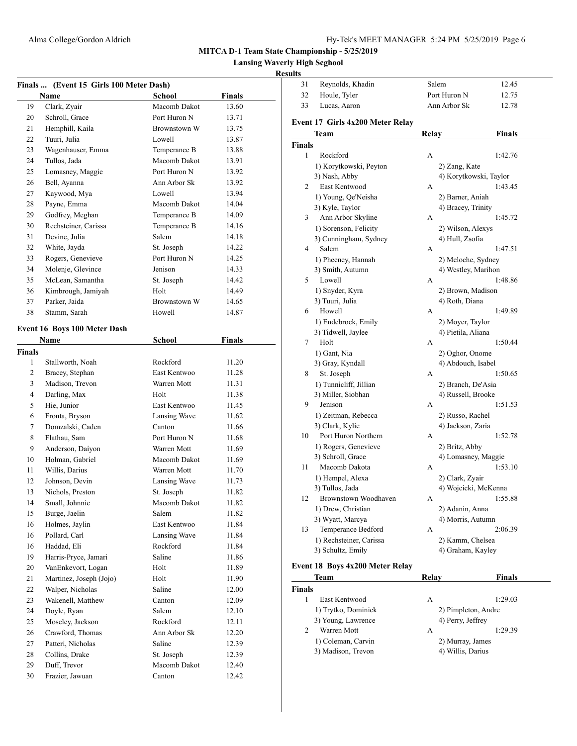**Lansing Waverly High Scghool**

# **Results**

| Finals  (Event 15 Girls 100 Meter Dash) |                              |              |               |  |
|-----------------------------------------|------------------------------|--------------|---------------|--|
|                                         | Name                         | School       | <b>Finals</b> |  |
| 19                                      | Clark, Zyair                 | Macomb Dakot | 13.60         |  |
| 20                                      | Schroll, Grace               | Port Huron N | 13.71         |  |
| 21                                      | Hemphill, Kaila              | Brownstown W | 13.75         |  |
| 22                                      | Tuuri, Julia                 | Lowell       | 13.87         |  |
| 23                                      | Wagenhauser, Emma            | Temperance B | 13.88         |  |
| 24                                      | Tullos, Jada                 | Macomb Dakot | 13.91         |  |
| 25                                      | Lomasney, Maggie             | Port Huron N | 13.92         |  |
| 26                                      | Bell, Ayanna                 | Ann Arbor Sk | 13.92         |  |
| 27                                      | Kaywood, Mya                 | Lowell       | 13.94         |  |
| 28                                      | Payne, Emma                  | Macomb Dakot | 14.04         |  |
| 29                                      | Godfrey, Meghan              | Temperance B | 14.09         |  |
| 30                                      | Rechsteiner, Carissa         | Temperance B | 14.16         |  |
| 31                                      | Devine, Julia                | Salem        | 14.18         |  |
| 32                                      | White, Jayda                 | St. Joseph   | 14.22         |  |
| 33                                      | Rogers, Genevieve            | Port Huron N | 14.25         |  |
| 34                                      | Molenje, Glevince            | Jenison      | 14.33         |  |
| 35                                      | McLean, Samantha             | St. Joseph   | 14.42         |  |
| 36                                      | Kimbrough, Jamiyah           | Holt         | 14.49         |  |
| 37                                      | Parker, Jaida                | Brownstown W | 14.65         |  |
| 38                                      | Stamm, Sarah                 | Howell       | 14.87         |  |
|                                         |                              |              |               |  |
|                                         | Event 16 Boys 100 Meter Dash |              |               |  |
|                                         | Name                         | School       | <b>Finals</b> |  |
| <b>Finals</b>                           |                              |              |               |  |
| 1                                       | Stallworth, Noah             | Rockford     | 11.20         |  |
| 2                                       | Bracey, Stephan              | East Kentwoo | 11.28         |  |
| 3                                       | Madison, Trevon              | Warren Mott  | 11.31         |  |
| 4                                       | Darling, Max                 | Holt         | 11.38         |  |
| 5                                       | Hie, Junior                  | East Kentwoo | 11.45         |  |
| 6                                       | Fronta, Bryson               | Lansing Wave | 11.62         |  |
| 7                                       | Domzalski, Caden             | Canton       | 11.66         |  |
| 8                                       | Flathau, Sam                 | Port Huron N | 11.68         |  |
| 9                                       | Anderson, Daiyon             | Warren Mott  | 11.69         |  |
| 10                                      | Holman, Gabriel              | Macomb Dakot | 11.69         |  |
| 11                                      | Willis, Darius               | Warren Mott  | 11.70         |  |
| 12                                      | Johnson, Devin               | Lansing Wave | 11.73         |  |
| 13                                      | Nichols, Preston             | St. Joseph   | 11.82         |  |
| 14                                      | Small, Johnnie               | Macomb Dakot | 11.82         |  |
| 15                                      | Burge, Jaelin                | Salem        | 11.82         |  |
| 16                                      | Holmes, Jaylin               | East Kentwoo | 11.84         |  |
| 16                                      | Pollard, Carl                | Lansing Wave | 11.84         |  |
| 16                                      | Haddad, Eli                  | Rockford     | 11.84         |  |
| 19                                      | Harris-Pryce, Jamari         | Saline       | 11.86         |  |
| 20                                      | VanEnkevort, Logan           | Holt         | 11.89         |  |
| 21                                      | Martinez, Joseph (Jojo)      | Holt         | 11.90         |  |
| 22                                      | Walper, Nicholas             | Saline       | 12.00         |  |
| 23                                      | Wakenell, Matthew            | Canton       | 12.09         |  |
| 24                                      | Doyle, Ryan                  | Salem        | 12.10         |  |
| 25                                      | Moseley, Jackson             | Rockford     | 12.11         |  |
| 26                                      | Crawford, Thomas             | Ann Arbor Sk | 12.20         |  |
| 27                                      | Patteri, Nicholas            | Saline       | 12.39         |  |
| 28                                      | Collins, Drake               | St. Joseph   | 12.39         |  |
| 29                                      | Duff, Trevor                 | Macomb Dakot | 12.40         |  |
| 30                                      | Frazier, Jawuan              | Canton       | 12.42         |  |

| uns           |                                     |       |                                         |  |
|---------------|-------------------------------------|-------|-----------------------------------------|--|
| 31            | Reynolds, Khadin                    |       | Salem<br>12.45                          |  |
| 32            | Houle, Tyler                        |       | Port Huron N<br>12.75                   |  |
| 33            | Lucas, Aaron                        |       | Ann Arbor Sk<br>12.78                   |  |
|               | Event 17 Girls 4x200 Meter Relay    |       |                                         |  |
|               | Team                                | Relay | Finals                                  |  |
| <b>Finals</b> |                                     |       |                                         |  |
| 1             | Rockford                            | А     | 1:42.76                                 |  |
|               | 1) Korytkowski, Peyton              |       | 2) Zang, Kate                           |  |
|               | 3) Nash, Abby                       |       | 4) Korytkowski, Taylor                  |  |
| 2             | East Kentwood                       | А     | 1:43.45                                 |  |
|               | 1) Young, Qe'Neisha                 |       | 2) Barner, Aniah                        |  |
|               | 3) Kyle, Taylor                     |       | 4) Bracey, Trinity                      |  |
| 3             | Ann Arbor Skyline                   | A     | 1:45.72                                 |  |
|               | 1) Sorenson, Felicity               |       | 2) Wilson, Alexys                       |  |
|               | 3) Cunningham, Sydney               |       | 4) Hull, Zsofia                         |  |
| 4             | Salem                               | А     | 1:47.51                                 |  |
|               | 1) Pheeney, Hannah                  |       | 2) Meloche, Sydney                      |  |
|               | 3) Smith, Autumn                    |       | 4) Westley, Marihon                     |  |
| 5             | Lowell                              | А     | 1:48.86                                 |  |
|               | 1) Snyder, Kyra                     |       | 2) Brown, Madison                       |  |
|               | 3) Tuuri, Julia                     |       | 4) Roth, Diana                          |  |
| 6             | Howell                              | A     | 1:49.89                                 |  |
|               | 1) Endebrock, Emily                 |       | 2) Moyer, Taylor                        |  |
|               | 3) Tidwell, Jaylee                  |       | 4) Pietila, Aliana                      |  |
| 7             | Holt                                | А     | 1:50.44                                 |  |
|               | 1) Gant, Nia                        |       | 2) Oghor, Onome                         |  |
|               | 3) Gray, Kyndall                    |       | 4) Abdouch, Isabel                      |  |
| 8             | St. Joseph                          | А     | 1:50.65                                 |  |
|               | 1) Tunnicliff, Jillian              |       | 2) Branch, De'Asia                      |  |
|               | 3) Miller, Siobhan                  |       | 4) Russell, Brooke                      |  |
| 9             | Jenison                             | А     | 1:51.53                                 |  |
|               | 1) Zeitman, Rebecca                 |       | 2) Russo, Rachel                        |  |
|               | 3) Clark, Kylie                     |       | 4) Jackson, Zaria                       |  |
| 10            | Port Huron Northern                 | А     | 1:52.78                                 |  |
|               | 1) Rogers, Genevieve                |       | 2) Britz, Abby                          |  |
| 11            | 3) Schroll, Grace<br>Macomb Dakota  | A     | 4) Lomasney, Maggie                     |  |
|               |                                     |       | 1:53.10                                 |  |
|               | 1) Hempel, Alexa<br>3) Tullos, Jada |       | 2) Clark, Zyair<br>4) Wojcicki, McKenna |  |
| 12            | Brownstown Woodhaven                | A     | 1:55.88                                 |  |
|               | 1) Drew, Christian                  |       | 2) Adanin, Anna                         |  |
|               | 3) Wyatt, Marcya                    |       | 4) Morris, Autumn                       |  |
| 13            | Temperance Bedford                  | А     | 2:06.39                                 |  |
|               | 1) Rechsteiner, Carissa             |       | 2) Kamm, Chelsea                        |  |
|               | 3) Schultz, Emily                   |       | 4) Graham, Kayley                       |  |
|               |                                     |       |                                         |  |

# **Event 18 Boys 4x200 Meter Relay**

|               | Team                | Relav             | <b>Finals</b>       |
|---------------|---------------------|-------------------|---------------------|
| <b>Finals</b> |                     |                   |                     |
|               | East Kentwood       | А                 | 1:29.03             |
|               | 1) Trytko, Dominick |                   | 2) Pimpleton, Andre |
|               | 3) Young, Lawrence  | 4) Perry, Jeffrey |                     |
| 2             | Warren Mott         | A                 | 1:29.39             |
|               | 1) Coleman, Carvin  | 2) Murray, James  |                     |
|               | 3) Madison, Trevon  | 4) Willis, Darius |                     |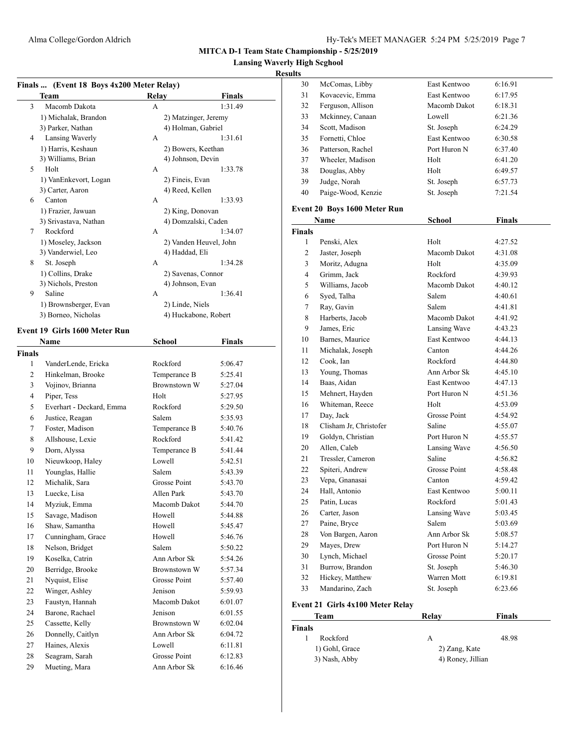**Lansing Waverly High Scghool**

# **Results**

| Team                  | Relay            | Finals                 |
|-----------------------|------------------|------------------------|
| 3<br>Macomb Dakota    | А                | 1:31.49                |
| 1) Michalak, Brandon  |                  | 2) Matzinger, Jeremy   |
| 3) Parker, Nathan     |                  | 4) Holman, Gabriel     |
| Lansing Waverly<br>4  | A                | 1:31.61                |
| 1) Harris, Keshaun    |                  | 2) Bowers, Keethan     |
| 3) Williams, Brian    |                  | 4) Johnson, Devin      |
| Holt<br>5             | A                | 1:33.78                |
| 1) VanEnkevort, Logan | 2) Fineis, Evan  |                        |
| 3) Carter, Aaron      | 4) Reed, Kellen  |                        |
| 6<br>Canton           | A                | 1:33.93                |
| 1) Frazier, Jawuan    |                  | 2) King, Donovan       |
| 3) Srivastava, Nathan |                  | 4) Domzalski, Caden    |
| Rockford<br>7         | A                | 1:34.07                |
| 1) Moseley, Jackson   |                  | 2) Vanden Heuvel, John |
| 3) Vanderwiel, Leo    | 4) Haddad, Eli   |                        |
| 8<br>St. Joseph       | A                | 1:34.28                |
| 1) Collins, Drake     |                  | 2) Savenas, Connor     |
| 3) Nichols, Preston   | 4) Johnson, Evan |                        |
| Saline<br>9           | А                | 1:36.41                |
| 1) Brownsberger, Evan | 2) Linde, Niels  |                        |
| 3) Borneo, Nicholas   |                  | 4) Huckabone, Robert   |

|                | <b>Name</b>              | School              | <b>Finals</b> |  |
|----------------|--------------------------|---------------------|---------------|--|
| Finals         |                          |                     |               |  |
| 1              | VanderLende, Ericka      | Rockford            | 5:06.47       |  |
| $\overline{c}$ | Hinkelman, Brooke        | Temperance B        | 5:25.41       |  |
| 3              | Vojinov, Brianna         | <b>Brownstown W</b> | 5:27.04       |  |
| $\overline{4}$ | Piper, Tess              | Holt                | 5:27.95       |  |
| 5              | Everhart - Deckard, Emma | Rockford            | 5:29.50       |  |
| 6              | Justice, Reagan          | Salem               | 5:35.93       |  |
| 7              | Foster, Madison          | Temperance B        | 5:40.76       |  |
| 8              | Allshouse, Lexie         | Rockford            | 5:41.42       |  |
| 9              | Dorn, Alyssa             | Temperance B        | 5:41.44       |  |
| 10             | Nieuwkoop, Haley         | Lowell              | 5:42.51       |  |
| 11             | Younglas, Hallie         | Salem               | 5:43.39       |  |
| 12             | Michalik, Sara           | <b>Grosse Point</b> | 5:43.70       |  |
| 13             | Luecke, Lisa             | Allen Park          | 5:43.70       |  |
| 14             | Myziuk, Emma             | Macomb Dakot        | 5:44.70       |  |
| 15             | Savage, Madison          | Howell              | 5:44.88       |  |
| 16             | Shaw, Samantha           | Howell              | 5:45.47       |  |
| 17             | Cunningham, Grace        | Howell              | 5:46.76       |  |
| 18             | Nelson, Bridget          | Salem               | 5:50.22       |  |
| 19             | Koselka, Catrin          | Ann Arbor Sk        | 5:54.26       |  |
| 20             | Berridge, Brooke         | Brownstown W        | 5:57.34       |  |
| 21             | Nyquist, Elise           | <b>Grosse Point</b> | 5:57.40       |  |
| 22             | Winger, Ashley           | Jenison             | 5:59.93       |  |
| 23             | Faustyn, Hannah          | Macomb Dakot        | 6:01.07       |  |
| 24             | Barone, Rachael          | Jenison             | 6:01.55       |  |
| 25             | Cassette, Kelly          | Brownstown W        | 6:02.04       |  |
| 26             | Donnelly, Caitlyn        | Ann Arbor Sk        | 6:04.72       |  |
| 27             | Haines, Alexis           | Lowell              | 6:11.81       |  |
| 28             | Seagram, Sarah           | Grosse Point        | 6:12.83       |  |
| 29             | Mueting, Mara            | Ann Arbor Sk        | 6:16.46       |  |
|                |                          |                     |               |  |

| 30 | McComas, Libby     | East Kentwoo | 6:16.91 |
|----|--------------------|--------------|---------|
| 31 | Kovacevic, Emma    | East Kentwoo | 6:17.95 |
| 32 | Ferguson, Allison  | Macomb Dakot | 6:18.31 |
| 33 | Mckinney, Canaan   | Lowell       | 6:21.36 |
| 34 | Scott, Madison     | St. Joseph   | 6:24.29 |
| 35 | Fornetti, Chloe    | East Kentwoo | 6:30.58 |
| 36 | Patterson, Rachel  | Port Huron N | 6:37.40 |
| 37 | Wheeler, Madison   | Holt         | 6:41.20 |
| 38 | Douglas, Abby      | Holt         | 6:49.57 |
| 39 | Judge, Norah       | St. Joseph   | 6:57.73 |
| 40 | Paige-Wood, Kenzie | St. Joseph   | 7:21.54 |
|    |                    |              |         |

# **Event 20 Boys 1600 Meter Run**

|                | Name                             | School              | <b>Finals</b> |
|----------------|----------------------------------|---------------------|---------------|
| <b>Finals</b>  |                                  |                     |               |
| 1              | Penski, Alex                     | Holt                | 4:27.52       |
| 2              | Jaster, Joseph                   | Macomb Dakot        | 4:31.08       |
| 3              | Moritz, Adugna                   | Holt                | 4:35.09       |
| $\overline{4}$ | Grimm, Jack                      | <b>Rockford</b>     | 4:39.93       |
| 5              | Williams, Jacob                  | Macomb Dakot        | 4:40.12       |
| 6              | Syed, Talha                      | Salem               | 4:40.61       |
| 7              | Ray, Gavin                       | Salem               | 4:41.81       |
| 8              | Harberts, Jacob                  | Macomb Dakot        | 4:41.92       |
| 9              | James, Eric                      | Lansing Wave        | 4:43.23       |
| 10             | Barnes, Maurice                  | East Kentwoo        | 4:44.13       |
| 11             | Michalak, Joseph                 | Canton              | 4:44.26       |
| 12             | Cook, Ian                        | Rockford            | 4:44.80       |
| 13             | Young, Thomas                    | Ann Arbor Sk        | 4:45.10       |
| 14             | Baas, Aidan                      | East Kentwoo        | 4:47.13       |
| 15             | Mehnert, Hayden                  | Port Huron N        | 4:51.36       |
| 16             | Whiteman, Reece                  | Holt                | 4:53.09       |
| 17             | Day, Jack                        | <b>Grosse Point</b> | 4:54.92       |
| 18             | Clisham Jr, Christofer           | Saline              | 4:55.07       |
| 19             | Goldyn, Christian                | Port Huron N        | 4:55.57       |
| 20             | Allen, Caleb                     | Lansing Wave        | 4:56.50       |
| 21             | Tressler, Cameron                | Saline              | 4:56.82       |
| 22             | Spiteri, Andrew                  | <b>Grosse Point</b> | 4:58.48       |
| 23             | Vepa, Gnanasai                   | Canton              | 4:59.42       |
| 24             | Hall, Antonio                    | East Kentwoo        | 5:00.11       |
| 25             | Patin, Lucas                     | Rockford            | 5:01.43       |
| 26             | Carter, Jason                    | Lansing Wave        | 5:03.45       |
| 27             | Paine, Bryce                     | Salem               | 5:03.69       |
| 28             | Von Bargen, Aaron                | Ann Arbor Sk        | 5:08.57       |
| 29             | Mayes, Drew                      | Port Huron N        | 5:14.27       |
| 30             | Lynch, Michael                   | <b>Grosse Point</b> | 5:20.17       |
| 31             | Burrow, Brandon                  | St. Joseph          | 5:46.30       |
| 32             | Hickey, Matthew                  | Warren Mott         | 6:19.81       |
| 33             | Mandarino, Zach                  | St. Joseph          | 6:23.66       |
|                | Event 21 Girls 4x100 Meter Relay |                     |               |
|                | Team                             | Relay               | Finals        |
| <b>Finals</b>  |                                  |                     |               |
| 1              | Rockford                         | А                   | 48.98         |

1) Gohl, Grace 2) Zang, Kate 3) Nash, Abby 4) Roney, Jillian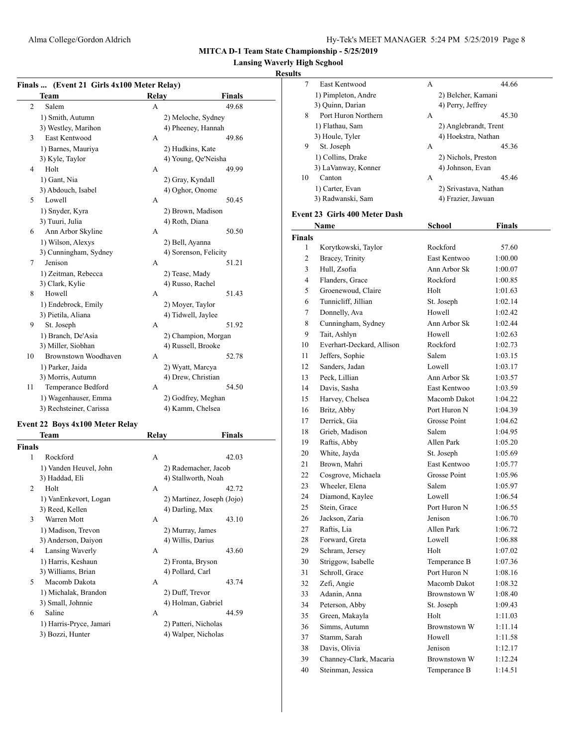7 East Kentwood A 44.66 1) Pimpleton, Andre 2) Belcher, Kamani 3) Quinn, Darian 4) Perry, Jeffrey 8 Port Huron Northern A 45.30

**MITCA D-1 Team State Championship - 5/25/2019**

#### **Lansing Waverly High Scghool**

#### **Results**

| Finals  (Event 21 Girls 4x100 Meter Relay) |                                         |       |                            |  |
|--------------------------------------------|-----------------------------------------|-------|----------------------------|--|
|                                            | Team                                    | Relay | <b>Finals</b>              |  |
| $\overline{2}$                             | Salem                                   | А     | 49.68                      |  |
|                                            | 1) Smith, Autumn                        |       | 2) Meloche, Sydney         |  |
|                                            | 3) Westley, Marihon                     |       | 4) Pheeney, Hannah         |  |
| 3                                          | East Kentwood                           | А     | 49.86                      |  |
|                                            | 1) Barnes, Mauriya                      |       | 2) Hudkins, Kate           |  |
|                                            | 3) Kyle, Taylor                         |       | 4) Young, Qe'Neisha        |  |
| 4                                          | Holt                                    | A     | 49.99                      |  |
|                                            | 1) Gant, Nia                            |       | 2) Gray, Kyndall           |  |
|                                            | 3) Abdouch, Isabel                      |       | 4) Oghor, Onome            |  |
| 5                                          | Lowell                                  | А     | 50.45                      |  |
|                                            | 1) Snyder, Kyra                         |       | 2) Brown, Madison          |  |
|                                            | 3) Tuuri, Julia                         |       | 4) Roth, Diana             |  |
| 6                                          | Ann Arbor Skyline                       | A     | 50.50                      |  |
|                                            | 1) Wilson, Alexys                       |       | 2) Bell, Ayanna            |  |
|                                            | 3) Cunningham, Sydney                   |       | 4) Sorenson, Felicity      |  |
| 7                                          | Jenison                                 | А     | 51.21                      |  |
|                                            | 1) Zeitman, Rebecca                     |       | 2) Tease, Mady             |  |
|                                            | 3) Clark, Kylie                         |       | 4) Russo, Rachel           |  |
| 8                                          | Howell                                  | А     | 51.43                      |  |
|                                            | 1) Endebrock, Emily                     |       | 2) Moyer, Taylor           |  |
|                                            | 3) Pietila, Aliana                      |       | 4) Tidwell, Jaylee         |  |
| 9                                          | St. Joseph                              | А     | 51.92                      |  |
|                                            | 1) Branch, De'Asia                      |       | 2) Champion, Morgan        |  |
|                                            | 3) Miller, Siobhan                      |       | 4) Russell, Brooke         |  |
| 10                                         | Brownstown Woodhaven                    | A     | 52.78                      |  |
|                                            | 1) Parker, Jaida                        |       | 2) Wyatt, Marcya           |  |
|                                            | 3) Morris, Autumn                       |       | 4) Drew, Christian         |  |
| 11                                         | Temperance Bedford                      | A     | 54.50                      |  |
|                                            | 1) Wagenhauser, Emma                    |       | 2) Godfrey, Meghan         |  |
|                                            | 3) Rechsteiner, Carissa                 |       | 4) Kamm, Chelsea           |  |
|                                            |                                         |       |                            |  |
|                                            | Event 22 Boys 4x100 Meter Relay<br>Team | Relay | Finals                     |  |
| <b>Finals</b>                              |                                         |       |                            |  |
| 1                                          | Rockford                                | A     | 42.03                      |  |
|                                            | 1) Vanden Heuvel, John                  |       | 2) Rademacher, Jacob       |  |
|                                            | 3) Haddad, Eli                          |       | 4) Stallworth, Noah        |  |
| 2                                          | Holt                                    | А     | 42.72                      |  |
|                                            |                                         |       |                            |  |
|                                            | 1) VanEnkevort, Logan                   |       | 2) Martinez, Joseph (Jojo) |  |

3) Williams, Brian 4) Pollard, Carl

1) Michalak, Brandon 2) Duff, Trevor

3) Reed, Kellen 4) Darling, Max 3 Warren Mott A 43.10 1) Madison, Trevon 2) Murray, James 3) Anderson, Daiyon 4) Willis, Darius 4 Lansing Waverly A 43.60 1) Harris, Keshaun 2) Fronta, Bryson 5 Macomb Dakota A 43.74 3) Small, Johnnie 4) Holman, Gabriel 6 Saline A 44.59 1) Harris-Pryce, Jamari 2) Patteri, Nicholas 3) Bozzi, Hunter 4) Walper, Nicholas

|               | 1) Flathau, Sam               | 2) Anglebrandt, Trent |                    |
|---------------|-------------------------------|-----------------------|--------------------|
|               | 3) Houle, Tyler               | 4) Hoekstra, Nathan   |                    |
| 9             | St. Joseph                    | A                     | 45.36              |
|               | 1) Collins, Drake             | 2) Nichols, Preston   |                    |
|               | 3) LaVanway, Konner           | 4) Johnson, Evan      |                    |
| 10            | Canton                        | A                     | 45.46              |
|               | 1) Carter, Evan               | 2) Srivastava, Nathan |                    |
|               | 3) Radwanski, Sam             | 4) Frazier, Jawuan    |                    |
|               | Event 23 Girls 400 Meter Dash |                       |                    |
|               | Name                          | <b>School</b>         | <b>Finals</b>      |
| <b>Finals</b> |                               |                       |                    |
| 1             | Korytkowski, Taylor           | Rockford              | 57.60              |
| 2             | Bracey, Trinity               | East Kentwoo          | 1:00.00            |
| 3             | Hull, Zsofia                  | Ann Arbor Sk          | 1:00.07            |
| 4             | Flanders, Grace               | Rockford              | 1:00.85            |
| 5             | Groenewoud, Claire            | Holt                  | 1:01.63            |
| 6             | Tunnicliff, Jillian           | St. Joseph            | 1:02.14            |
| 7             | Donnelly, Ava                 | Howell                | 1:02.42            |
| 8             | Cunningham, Sydney            | Ann Arbor Sk          | 1:02.44            |
| 9             | Tait, Ashlyn                  | Howell                | 1:02.63            |
| 10            | Everhart-Deckard, Allison     | Rockford              | 1:02.73            |
| 11            | Jeffers, Sophie               | Salem                 | 1:03.15            |
| 12            | Sanders, Jadan                | Lowell                | 1:03.17            |
| 13            | Peck, Lillian                 | Ann Arbor Sk          | 1:03.57            |
| 14            | Davis, Sasha                  | East Kentwoo          | 1:03.59            |
| 15            | Harvey, Chelsea               | Macomb Dakot          | 1:04.22            |
| 16            | Britz, Abby                   | Port Huron N          | 1:04.39            |
| 17            | Derrick, Gia                  | Grosse Point          | 1:04.62            |
| 18            | Grieb, Madison                | Salem                 | 1:04.95            |
| 19            | Raftis, Abby                  | Allen Park            | 1:05.20            |
| 20            | White, Jayda                  | St. Joseph            | 1:05.69            |
| 21            | Brown, Mahri                  | East Kentwoo          | 1:05.77            |
| 22            | Cosgrove, Michaela            | Grosse Point          | 1:05.96            |
| 23            | Wheeler, Elena                | Salem                 | 1:05.97            |
| 24            | Diamond, Kaylee               | Lowell                | 1:06.54            |
| 25            | Stein, Grace                  | Port Huron N          | 1:06.55            |
| 26            | Jackson, Zaria                | Jenison               | 1:06.70            |
| 27            | Raftis, Lia                   | Allen Park            | 1:06.72            |
| 28            | Forward, Greta                | Lowell                | 1:06.88            |
| 29            | Schram, Jersey                | Holt                  | 1:07.02            |
| 30            | Striggow, Isabelle            | Temperance B          | 1:07.36            |
| 31            | Schroll, Grace                | Port Huron N          | 1:08.16            |
| 32            | Zefi, Angie                   | Macomb Dakot          | 1:08.32            |
| 33            | Adanin, Anna                  | Brownstown W          | 1:08.40            |
| 34            | Peterson, Abby                | St. Joseph            |                    |
| 35            | Green, Makayla                | Holt                  | 1:09.43<br>1:11.03 |
| 36            | Simms, Autumn                 | <b>Brownstown W</b>   | 1:11.14            |
| 37            | Stamm, Sarah                  | Howell                | 1:11.58            |
| 38            | Davis, Olivia                 | Jenison               |                    |
|               |                               |                       | 1:12.17            |
| 39            | Channey-Clark, Macaria        | Brownstown W          | 1:12.24            |

40 Steinman, Jessica Temperance B 1:14.51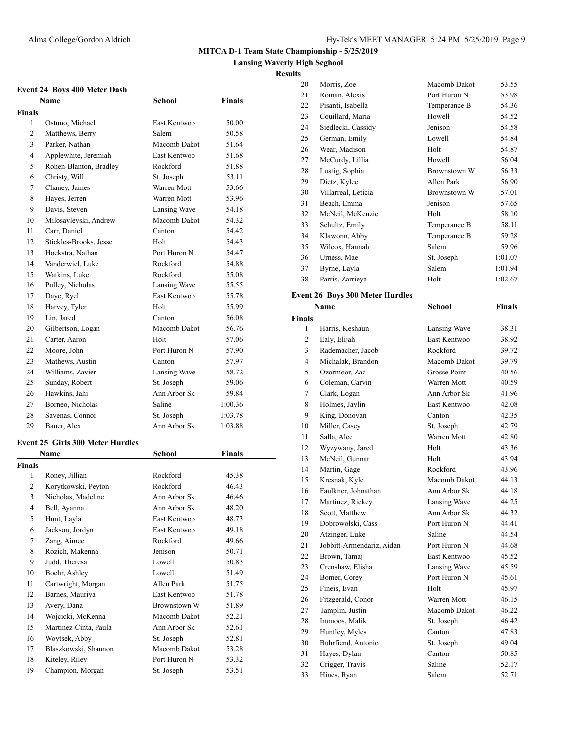# Alma College/Gordon Aldrich Hy-Tek's MEET MANAGER 5:24 PM 5/25/2019 Page 9

**MITCA D-1 Team State Championship - 5/25/2019**

**Lansing Waverly High Scghool**

| <b>Event 24 Boys 400 Meter Dash</b> |                                         |                     |         |
|-------------------------------------|-----------------------------------------|---------------------|---------|
|                                     | Name                                    | School              | Finals  |
| <b>Finals</b>                       |                                         |                     |         |
| 1                                   | Ostuno, Michael                         | East Kentwoo        | 50.00   |
| 2                                   | Matthews, Berry                         | Salem               | 50.58   |
| 3                                   | Parker, Nathan                          | Macomb Dakot        | 51.64   |
| 4                                   | Applewhite, Jeremiah                    | <b>East Kentwoo</b> | 51.68   |
| 5                                   | Rohen-Blanton, Bradley                  | Rockford            | 51.88   |
| 6                                   | Christy, Will                           | St. Joseph          | 53.11   |
| 7                                   | Chaney, James                           | Warren Mott         | 53.66   |
| 8                                   | Hayes, Jerren                           | Warren Mott         | 53.96   |
| 9                                   | Davis, Steven                           | Lansing Wave        | 54.18   |
| 10                                  | Milosavlevski, Andrew                   | Macomb Dakot        | 54.32   |
| 11                                  | Carr, Daniel                            | Canton              | 54.42   |
| 12                                  | Stickles-Brooks, Jesse                  | Holt                | 54.43   |
| 13                                  | Hoekstra, Nathan                        | Port Huron N        | 54.47   |
| 14                                  | Vanderwiel, Luke                        | Rockford            | 54.88   |
| 15                                  | Watkins, Luke                           | Rockford            | 55.08   |
| 16                                  | Pulley, Nicholas                        | Lansing Wave        | 55.55   |
| 17                                  | Daye, Ryel                              | East Kentwoo        | 55.78   |
| 18                                  | Harvey, Tyler                           | Holt                | 55.99   |
| 19                                  | Lin, Jared                              | Canton              | 56.08   |
| 20                                  | Gilbertson, Logan                       | Macomb Dakot        | 56.76   |
| 21                                  | Carter, Aaron                           | Holt                | 57.06   |
| 22                                  | Moore, John                             | Port Huron N        | 57.90   |
| 23                                  | Mathews, Austin                         | Canton              | 57.97   |
| 24                                  | Williams, Zavier                        | Lansing Wave        | 58.72   |
| 25                                  | Sunday, Robert                          | St. Joseph          | 59.06   |
| 26                                  | Hawkins, Jahi                           | Ann Arbor Sk        | 59.84   |
| 27                                  | Borneo, Nicholas                        | Saline              | 1:00.36 |
| 28                                  | Savenas, Connor                         | St. Joseph          | 1:03.78 |
| 29                                  | Bauer, Alex                             | Ann Arbor Sk        | 1:03.88 |
|                                     |                                         |                     |         |
|                                     | <b>Event 25 Girls 300 Meter Hurdles</b> |                     |         |
|                                     | Name                                    | <b>School</b>       | Finals  |
| <b>Finals</b>                       |                                         |                     |         |
| 1                                   | Roney, Jillian                          | Rockford            | 45.38   |
| 2                                   | Korytkowski, Peyton                     | Rockford            | 46.43   |
| 3                                   | Nicholas, Madeline                      | Ann Arbor Sk        | 46.46   |
| 4                                   | Bell, Ayanna                            | Ann Arbor Sk        | 48.20   |
| 5                                   | Hunt, Layla                             | East Kentwoo        | 48.73   |
| 6                                   | Jackson, Jordyn                         | East Kentwoo        | 49.18   |
| 7                                   | Zang, Aimee                             | Rockford            | 49.66   |
| 8                                   | Rozich, Makenna                         | Jenison             | 50.71   |
| 9                                   | Judd, Theresa                           | Lowell              | 50.83   |
| 10                                  | Boehr, Ashley                           | Lowell              | 51.49   |
| 11                                  | Cartwright, Morgan                      | Allen Park          | 51.75   |
| 12                                  | Barnes, Mauriya                         | East Kentwoo        | 51.78   |
| 13                                  | Avery, Dana                             | Brownstown W        | 51.89   |
| 14                                  | Wojcicki, McKenna                       | Macomb Dakot        | 52.21   |
| 15                                  | Martinez-Cinta, Paula                   | Ann Arbor Sk        | 52.61   |
| 16                                  | Woytsek, Abby                           | St. Joseph          | 52.81   |
| 17                                  | Blaszkowski, Shannon                    | Macomb Dakot        | 53.28   |
| 18                                  | Kiteley, Riley                          | Port Huron N        | 53.32   |
| 19                                  | Champion, Morgan                        | St. Joseph          | 53.51   |

| 20            | Morris, Zoe                            | Macomb Dakot        | 53.55          |
|---------------|----------------------------------------|---------------------|----------------|
| 21            | Roman, Alexis                          | Port Huron N        | 53.98          |
| 22            | Pisanti, Isabella                      | Temperance B        | 54.36          |
| 23            | Couillard, Maria                       | Howell              | 54.52          |
| 24            | Siedlecki, Cassidy                     | Jenison             | 54.58          |
| 25            | German, Emily                          | Lowell              | 54.84          |
| 26            | Wear, Madison                          | Holt                | 54.87          |
| 27            | McCurdy, Lillia                        | Howell              | 56.04          |
| 28            | Lustig, Sophia                         | <b>Brownstown W</b> | 56.33          |
| 29            | Dietz, Kylee                           | Allen Park          | 56.90          |
| 30            | Villarreal, Leticia                    | Brownstown W        | 57.01          |
| 31            | Beach, Emma                            | Jenison             | 57.65          |
| 32            | McNeil, McKenzie                       | Holt                | 58.10          |
| 33            | Schultz, Emily                         | Temperance B        | 58.11          |
| 34            | Klawonn, Abby                          | Temperance B        | 59.28          |
| 35            | Wilcox, Hannah                         | Salem               | 59.96          |
| 36            | Urness, Mae                            | St. Joseph          | 1:01.07        |
| 37            |                                        | Salem               |                |
|               | Byrne, Layla                           |                     | 1:01.94        |
| 38            | Parris, Zarrieya                       | Holt                | 1:02.67        |
|               | <b>Event 26 Boys 300 Meter Hurdles</b> |                     |                |
|               | Name                                   | <b>School</b>       | <b>Finals</b>  |
| <b>Finals</b> |                                        |                     |                |
| 1             | Harris, Keshaun                        | Lansing Wave        | 38.31          |
| 2             | Ealy, Elijah                           | East Kentwoo        | 38.92          |
| 3             | Rademacher, Jacob                      | Rockford            | 39.72          |
| 4             | Michalak, Brandon                      | Macomb Dakot        | 39.79          |
| 5             | Ozormoor, Zac                          | Grosse Point        | 40.56          |
| 6             | Coleman, Carvin                        | Warren Mott         | 40.59          |
| 7             | Clark, Logan                           | Ann Arbor Sk        | 41.96          |
| 8             | Holmes, Jaylin                         | East Kentwoo        | 42.08          |
| 9             | King, Donovan                          | Canton              | 42.35          |
| 10            | Miller, Casey                          | St. Joseph          | 42.79          |
| 11            | Salla, Alec                            | Warren Mott         | 42.80          |
| 12            | Wyzywany, Jared                        | Holt                | 43.36          |
| 13            | McNeil, Gunnar                         | Holt                | 43.94          |
| 14            | Martin, Gage                           | Rockford            | 43.96          |
| 15            | Kresnak, Kyle                          | Macomb Dakot        | 44.13          |
| 16            | Faulkner, Johnathan                    | Ann Arbor Sk        | 44.18          |
| 17            | Martinez, Rickey                       | Lansing Wave        | 44.25          |
| 18            | Scott, Matthew                         | Ann Arbor Sk        | 44.32          |
| 19            | Dobrowolski, Cass                      | Port Huron N        | 44.41          |
| 20            | Atzinger, Luke                         | Saline              | 44.54          |
| 21            | Jobbitt-Armendariz, Aidan              | Port Huron N        | 44.68          |
| 22            | Brown, Tamaj                           | East Kentwoo        | 45.52          |
| 23            | Crenshaw, Elisha                       | Lansing Wave        | 45.59          |
| 24            | Bomer, Corey                           | Port Huron N        | 45.61          |
| 25            | Fineis, Evan                           | Holt                | 45.97          |
| 26            | Fitzgerald, Conor                      | Warren Mott         | 46.15          |
| 27            | Tamplin, Justin                        | Macomb Dakot        | 46.22          |
| 28            | Immoos, Malik                          | St. Joseph          | 46.42          |
| 29            | Huntley, Myles                         | Canton              | 47.83          |
| 30            | Buhrfiend, Antonio                     | St. Joseph          | 49.04          |
|               |                                        |                     |                |
|               |                                        |                     |                |
| 31            | Hayes, Dylan                           | Canton              | 50.85          |
| 32<br>33      | Crigger, Travis<br>Hines, Ryan         | Saline<br>Salem     | 52.17<br>52.71 |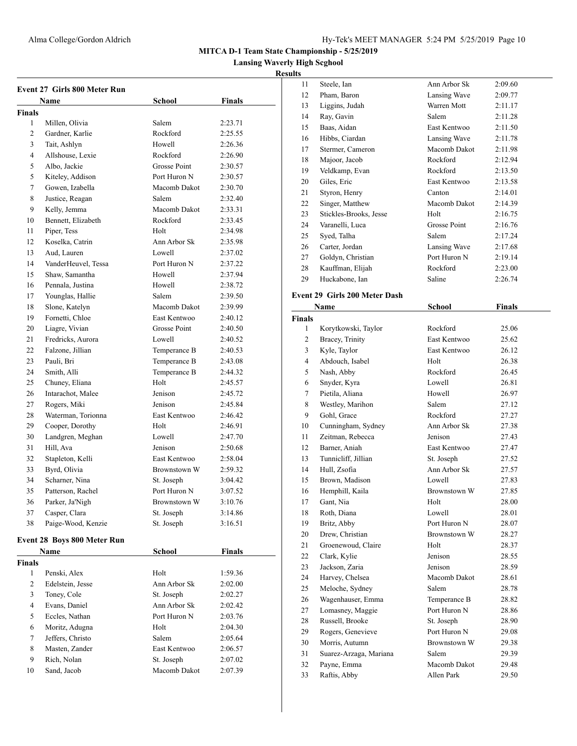**Lansing Waverly High Scghool**

#### **Results**

|               | <b>Event 27 Girls 800 Meter Run</b> |                     |               |
|---------------|-------------------------------------|---------------------|---------------|
| Name          |                                     | School              | Finals        |
| <b>Finals</b> |                                     |                     |               |
| 1             | Millen, Olivia                      | Salem               | 2:23.71       |
| 2             | Gardner, Karlie                     | Rockford            | 2:25.55       |
| 3             | Tait, Ashlyn                        | Howell              | 2:26.36       |
| 4             | Allshouse, Lexie                    | Rockford            | 2:26.90       |
| 5             | Albo, Jackie                        | Grosse Point        | 2:30.57       |
| 5             | Kiteley, Addison                    | Port Huron N        | 2:30.57       |
| 7             | Gowen, Izabella                     | Macomb Dakot        | 2:30.70       |
| 8             | Justice, Reagan                     | Salem               | 2:32.40       |
| 9             | Kelly, Jemma                        | Macomb Dakot        | 2:33.31       |
| 10            | Bennett, Elizabeth                  | Rockford            | 2:33.45       |
| 11            | Piper, Tess                         | Holt                | 2:34.98       |
| 12            | Koselka, Catrin                     | Ann Arbor Sk        | 2:35.98       |
| 13            | Aud, Lauren                         | Lowell              | 2:37.02       |
| 14            | VanderHeuvel, Tessa                 | Port Huron N        | 2:37.22       |
| 15            | Shaw, Samantha                      | Howell              | 2:37.94       |
| 16            | Pennala, Justina                    | Howell              | 2:38.72       |
| 17            | Younglas, Hallie                    | Salem               | 2:39.50       |
| 18            | Slone, Katelyn                      | Macomb Dakot        | 2:39.99       |
| 19            | Fornetti, Chloe                     | East Kentwoo        | 2:40.12       |
| 20            | Liagre, Vivian                      | <b>Grosse Point</b> | 2:40.50       |
| 21            | Fredricks, Aurora                   | Lowell              | 2:40.52       |
| 22            | Falzone, Jillian                    | Temperance B        | 2:40.53       |
| 23            | Pauli, Bri                          | Temperance B        | 2:43.08       |
| 24            | Smith, Alli                         | Temperance B        | 2:44.32       |
| 25            | Chuney, Eliana                      | Holt                | 2:45.57       |
| 26            | Intarachot, Malee                   | Jenison             | 2:45.72       |
| 27            | Rogers, Miki                        | Jenison             | 2:45.84       |
| 28            | Waterman, Torionna                  | East Kentwoo        | 2:46.42       |
| 29            | Cooper, Dorothy                     | Holt                | 2:46.91       |
| 30            | Landgren, Meghan                    | Lowell              | 2:47.70       |
| 31            | Hill, Ava                           | Jenison             | 2:50.68       |
| 32            | Stapleton, Kelli                    | <b>East Kentwoo</b> | 2:58.04       |
| 33            | Byrd, Olivia                        | Brownstown W        | 2:59.32       |
| 34            | Scharner, Nina                      | St. Joseph          | 3:04.42       |
| 35            | Patterson, Rachel                   | Port Huron N        | 3:07.52       |
| 36            | Parker. Ja'Nigh                     | Brownstown W        | 3:10.76       |
| 37            | Casper, Clara                       | St. Joseph          | 3:14.86       |
| 38            | Paige-Wood, Kenzie                  | St. Joseph          | 3:16.51       |
|               |                                     |                     |               |
|               | <b>Event 28 Boys 800 Meter Run</b>  |                     |               |
|               | Name                                | <b>School</b>       | <b>Finals</b> |
| <b>Finals</b> |                                     |                     |               |
| 1             | Penski, Alex                        | Holt                | 1:59.36       |
| 2             | Edelstein, Jesse                    | Ann Arbor Sk        | 2:02.00       |
| 3             | Toney, Cole                         | St. Joseph          | 2:02.27       |
| 4             | Evans, Daniel                       | Ann Arbor Sk        | 2:02.42       |
| 5             | Eccles, Nathan                      | Port Huron N        | 2:03.76       |
| 6             | Moritz, Adugna                      | Holt                | 2:04.30       |
| 7             | Jeffers, Christo                    | Salem               | 2:05.64       |
| 8             | Masten, Zander                      | East Kentwoo        | 2:06.57       |
| 9             | Rich, Nolan                         | St. Joseph          | 2:07.02       |
| 10            | Sand, Jacob                         | Macomb Dakot        | 2:07.39       |

| 11             | Steele, Ian                   | Ann Arbor Sk | 2:09.60 |  |
|----------------|-------------------------------|--------------|---------|--|
| 12             | Pham, Baron                   | Lansing Wave | 2:09.77 |  |
| 13             | Liggins, Judah                | Warren Mott  | 2:11.17 |  |
| 14             | Ray, Gavin                    | Salem        | 2:11.28 |  |
| 15             | Baas, Aidan                   | East Kentwoo | 2:11.50 |  |
| 16             | Hibbs, Ciardan                | Lansing Wave | 2:11.78 |  |
| 17             | Stermer, Cameron              | Macomb Dakot | 2:11.98 |  |
| 18             | Majoor, Jacob                 | Rockford     | 2:12.94 |  |
| 19             | Veldkamp, Evan                | Rockford     | 2:13.50 |  |
| 20             | Giles, Eric                   | East Kentwoo | 2:13.58 |  |
| 21             | Styron, Henry                 | Canton       | 2:14.01 |  |
| 22             | Singer, Matthew               | Macomb Dakot | 2:14.39 |  |
| 23             | Stickles-Brooks, Jesse        | Holt         | 2:16.75 |  |
| 24             | Varanelli, Luca               | Grosse Point | 2:16.76 |  |
| 25             | Syed, Talha                   | Salem        | 2:17.24 |  |
| 26             | Carter, Jordan                | Lansing Wave | 2:17.68 |  |
| 27             | Goldyn, Christian             | Port Huron N | 2:19.14 |  |
| 28             | Kauffman, Elijah              | Rockford     | 2:23.00 |  |
| 29             | Huckabone, Ian                | Saline       | 2:26.74 |  |
|                | Event 29 Girls 200 Meter Dash |              |         |  |
|                | Name                          | School       | Finals  |  |
| <b>Finals</b>  |                               |              |         |  |
| 1              | Korytkowski, Taylor           | Rockford     | 25.06   |  |
| $\overline{c}$ | Bracey, Trinity               | East Kentwoo | 25.62   |  |
| 3              | Kyle, Taylor                  | East Kentwoo | 26.12   |  |
| 4              | Abdouch, Isabel               | Holt         | 26.38   |  |
| 5              | Nash, Abby                    | Rockford     | 26.45   |  |
| 6              | Snyder, Kyra                  | Lowell       | 26.81   |  |
| 7              | Pietila, Aliana               | Howell       | 26.97   |  |
| 8              | Westley, Marihon              | Salem        | 27.12   |  |
| 9              | Gohl, Grace                   | Rockford     | 27.27   |  |
| 10             | Cunningham, Sydney            | Ann Arbor Sk | 27.38   |  |
| 11             | Zeitman, Rebecca              | Jenison      | 27.43   |  |
| 12             | Barner, Aniah                 | East Kentwoo | 27.47   |  |
| 13             |                               |              |         |  |
|                | Tunnicliff, Jillian           | St. Joseph   | 27.52   |  |

 Brown, Madison Lowell 27.83 16 Hemphill, Kaila Brownstown W 27.85 Gant, Nia Holt 28.00 Roth, Diana Lowell 28.01 19 Britz, Abby Port Huron N 28.07 20 Drew, Christian Brownstown W 28.27 21 Groenewoud, Claire Holt 28.37 Clark, Kylie Jenison 28.55 Jackson, Zaria Jenison 28.59 24 Harvey, Chelsea Macomb Dakot 28.61 Meloche, Sydney Salem 28.78 Wagenhauser, Emma Temperance B 28.82 27 Lomasney, Maggie Port Huron N 28.86 28 Russell, Brooke St. Joseph 28.90 29 Rogers, Genevieve Port Huron N 29.08 Morris, Autumn Brownstown W 29.38 Suarez-Arzaga, Mariana Salem 29.39 Payne, Emma Macomb Dakot 29.48 Raftis, Abby Allen Park 29.50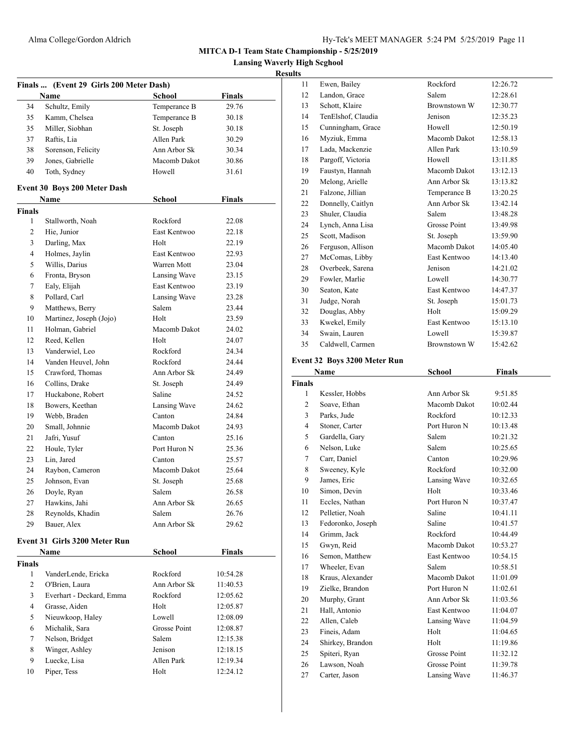**Lansing Waverly High Scghool**

# **Results**

| Finals  (Event 29 Girls 200 Meter Dash) |                                             |               |                |  |
|-----------------------------------------|---------------------------------------------|---------------|----------------|--|
|                                         | Name                                        | <b>School</b> | <b>Finals</b>  |  |
| 34                                      | Schultz, Emily                              | Temperance B  | 29.76          |  |
| 35                                      | Kamm, Chelsea                               | Temperance B  | 30.18          |  |
| 35                                      | Miller, Siobhan                             | St. Joseph    | 30.18          |  |
| 37                                      | Raftis, Lia                                 | Allen Park    | 30.29          |  |
| 38                                      | Sorenson, Felicity                          | Ann Arbor Sk  | 30.34          |  |
| 39                                      | Jones, Gabrielle                            | Macomb Dakot  | 30.86          |  |
| 40                                      | Toth, Sydney                                | Howell        | 31.61          |  |
|                                         |                                             |               |                |  |
|                                         | <b>Event 30 Boys 200 Meter Dash</b><br>Name | School        | <b>Finals</b>  |  |
| <b>Finals</b>                           |                                             |               |                |  |
| 1                                       | Stallworth, Noah                            | Rockford      | 22.08          |  |
| 2                                       | Hie, Junior                                 | East Kentwoo  | 22.18          |  |
| 3                                       | Darling, Max                                | Holt          | 22.19          |  |
| 4                                       | Holmes, Jaylin                              | East Kentwoo  | 22.93          |  |
| 5                                       | Willis, Darius                              | Warren Mott   | 23.04          |  |
| 6                                       | Fronta, Bryson                              | Lansing Wave  | 23.15          |  |
| 7                                       | Ealy, Elijah                                | East Kentwoo  | 23.19          |  |
| 8                                       | Pollard, Carl                               | Lansing Wave  | 23.28          |  |
| 9                                       | Matthews, Berry                             | Salem         | 23.44          |  |
| 10                                      | Martinez, Joseph (Jojo)                     | Holt          | 23.59          |  |
| 11                                      | Holman, Gabriel                             | Macomb Dakot  |                |  |
|                                         | Reed, Kellen                                | Holt          | 24.02<br>24.07 |  |
| 12<br>13                                | Vanderwiel, Leo                             | Rockford      | 24.34          |  |
|                                         |                                             |               |                |  |
| 14                                      | Vanden Heuvel, John                         | Rockford      | 24.44          |  |
| 15                                      | Crawford, Thomas                            | Ann Arbor Sk  | 24.49          |  |
| 16                                      | Collins, Drake                              | St. Joseph    | 24.49          |  |
| 17                                      | Huckabone, Robert                           | Saline        | 24.52          |  |
| 18                                      | Bowers, Keethan                             | Lansing Wave  | 24.62          |  |
| 19                                      | Webb, Braden                                | Canton        | 24.84          |  |
| 20                                      | Small, Johnnie                              | Macomb Dakot  | 24.93          |  |
| 21                                      | Jafri, Yusuf                                | Canton        | 25.16          |  |
| 22                                      | Houle, Tyler                                | Port Huron N  | 25.36          |  |
| 23                                      | Lin, Jared                                  | Canton        | 25.57          |  |
| 24                                      | Raybon, Cameron                             | Macomb Dakot  | 25.64          |  |
| 25                                      | Johnson, Evan                               | St. Joseph    | 25.68          |  |
| 26                                      | Doyle, Ryan                                 | Salem         | 26.58          |  |
| 27                                      | Hawkins, Jahi                               | Ann Arbor Sk  | 26.65          |  |
| 28                                      | Reynolds, Khadin                            | Salem         | 26.76          |  |
| 29                                      | Bauer, Alex                                 | Ann Arbor Sk  | 29.62          |  |
|                                         | Event 31 Girls 3200 Meter Run               |               |                |  |
|                                         | Name                                        | School        | <b>Finals</b>  |  |
| <b>Finals</b>                           |                                             |               |                |  |
| 1                                       | VanderLende, Ericka                         | Rockford      | 10:54.28       |  |
| 2                                       | O'Brien, Laura                              | Ann Arbor Sk  | 11:40.53       |  |
| 3                                       | Everhart - Deckard, Emma                    | Rockford      | 12:05.62       |  |
| 4                                       | Grasse, Aiden                               | Holt          | 12:05.87       |  |
| 5                                       | Nieuwkoop, Haley                            | Lowell        | 12:08.09       |  |
| 6                                       | Michalik, Sara                              | Grosse Point  | 12:08.87       |  |
| 7                                       | Nelson, Bridget                             | Salem         | 12:15.38       |  |
| 8                                       | Winger, Ashley                              | Jenison       | 12:18.15       |  |
| 9                                       | Luecke, Lisa                                | Allen Park    | 12:19.34       |  |
| 10                                      | Piper, Tess                                 | Holt          | 12:24.12       |  |
|                                         |                                             |               |                |  |

| um             |                                                                                  |                     |               |  |
|----------------|----------------------------------------------------------------------------------|---------------------|---------------|--|
| 11             | Ewen, Bailey                                                                     | Rockford            | 12:26.72      |  |
| 12             | Landon, Grace                                                                    | Salem               | 12:28.61      |  |
| 13             | Schott, Klaire                                                                   | <b>Brownstown W</b> | 12:30.77      |  |
| 14             | TenElshof, Claudia                                                               | Jenison             | 12:35.23      |  |
| 15             | Cunningham, Grace                                                                | Howell              | 12:50.19      |  |
| 16             | Myziuk, Emma                                                                     | Macomb Dakot        | 12:58.13      |  |
| 17             | Lada, Mackenzie                                                                  | Allen Park          | 13:10.59      |  |
| 18             | Pargoff, Victoria                                                                | Howell              | 13:11.85      |  |
| 19             | Faustyn, Hannah                                                                  | Macomb Dakot        | 13:12.13      |  |
| 20             | Melong, Arielle                                                                  | Ann Arbor Sk        | 13:13.82      |  |
| 21             | Falzone, Jillian                                                                 | Temperance B        | 13:20.25      |  |
| 22             | Donnelly, Caitlyn                                                                | Ann Arbor Sk        | 13:42.14      |  |
| 23             | Shuler, Claudia                                                                  | Salem               | 13:48.28      |  |
| 24             | Lynch, Anna Lisa                                                                 | Grosse Point        | 13:49.98      |  |
| 25             | Scott, Madison                                                                   | St. Joseph          | 13:59.90      |  |
| 26             | Ferguson, Allison                                                                | Macomb Dakot        | 14:05.40      |  |
| 27             | McComas, Libby                                                                   | East Kentwoo        | 14:13.40      |  |
| 28             | Overbeek, Sarena                                                                 | Jenison             | 14:21.02      |  |
| 29             | Fowler, Marlie                                                                   | Lowell              | 14:30.77      |  |
| 30             | Seaton, Kate                                                                     | East Kentwoo        | 14:47.37      |  |
| 31             | Judge, Norah                                                                     | St. Joseph          | 15:01.73      |  |
| 32             | Douglas, Abby                                                                    | Holt                | 15:09.29      |  |
| 33             | Kwekel, Emily                                                                    | East Kentwoo        | 15:13.10      |  |
| 34             | Swain, Lauren                                                                    | Lowell              | 15:39.87      |  |
| 35             | Caldwell, Carmen                                                                 | Brownstown W        | 15:42.62      |  |
|                | Event 32 Boys 3200 Meter Run                                                     |                     |               |  |
|                | Name                                                                             | <b>School</b>       | <b>Finals</b> |  |
| <b>Finals</b>  |                                                                                  |                     |               |  |
| 1              | Kessler, Hobbs                                                                   | Ann Arbor Sk        | 9:51.85       |  |
| $\overline{c}$ | Soave, Ethan                                                                     | Macomb Dakot        | 10:02.44      |  |
| 3              | Parks, Jude                                                                      | Rockford            | 10:12.33      |  |
| $\overline{4}$ | Stoner, Carter                                                                   | Port Huron N        | 10:13.48      |  |
| 5              | Gardella, Gary                                                                   | Salem               | 10:21.32      |  |
| 6              | Nelson, Luke                                                                     | Salem               | 10:25.65      |  |
| 7              | Carr, Daniel                                                                     | Canton              | 10:29.96      |  |
| 8              | Sweeney, Kyle                                                                    | Rockford            | 10:32.00      |  |
| 9              | James, Eric                                                                      | Lansing Wave        | 10:32.65      |  |
| 10             | Simon, Devin                                                                     | Holt                | 10:33.46      |  |
| 11             | Eccles, Nathan                                                                   | Port Huron N        | 10:37.47      |  |
| 12             | Pelletier, Noah                                                                  | Saline              | 10:41.11      |  |
| 12             | $\mathbf{E}$ and $\mathbf{E}$ and $\mathbf{E}$ and $\mathbf{E}$ and $\mathbf{E}$ | $C = 11$            | 10.41.57      |  |

| 12 | Pelletier, Noah   | Saline       | 10:41.11 |
|----|-------------------|--------------|----------|
| 13 | Fedoronko, Joseph | Saline       | 10:41.57 |
| 14 | Grimm, Jack       | Rockford     | 10:44.49 |
| 15 | Gwyn, Reid        | Macomb Dakot | 10:53.27 |
| 16 | Semon, Matthew    | East Kentwoo | 10:54.15 |
| 17 | Wheeler, Evan     | Salem        | 10:58.51 |
| 18 | Kraus, Alexander  | Macomb Dakot | 11:01.09 |
| 19 | Zielke, Brandon   | Port Huron N | 11:02.61 |
| 20 | Murphy, Grant     | Ann Arbor Sk | 11:03.56 |
| 21 | Hall, Antonio     | East Kentwoo | 11:04.07 |
| 22 | Allen, Caleb      | Lansing Wave | 11:04.59 |
| 23 | Fineis, Adam      | Holt         | 11:04.65 |
| 24 | Shirkey, Brandon  | Holt         | 11:19.86 |
| 25 | Spiteri, Ryan     | Grosse Point | 11:32.12 |
| 26 | Lawson, Noah      | Grosse Point | 11:39.78 |

27 Carter, Jason Lansing Wave 11:46.37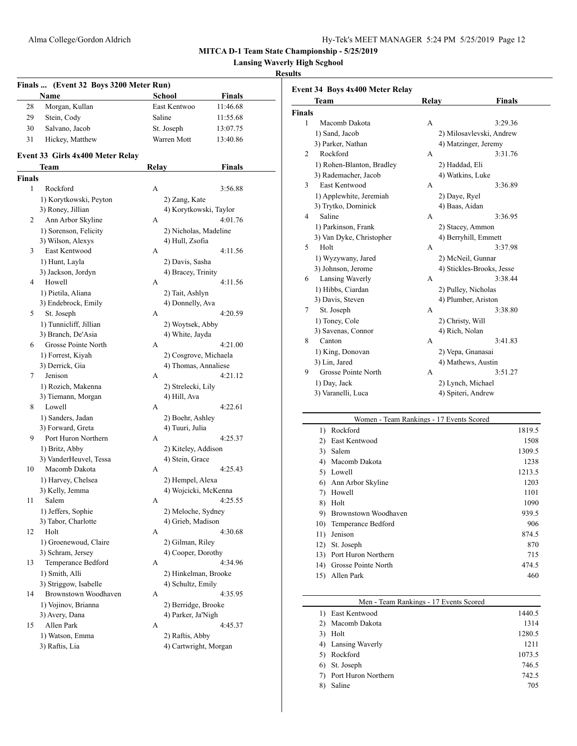**Lansing Waverly High Scghool**

# **Results**

 $\overline{\phantom{0}}$ 

| Finals  (Event 32 Boys 3200 Meter Run)<br>Name<br>School<br><b>Finals</b> |                                           |       |                        |          |
|---------------------------------------------------------------------------|-------------------------------------------|-------|------------------------|----------|
| 28                                                                        | Morgan, Kullan                            |       | East Kentwoo           | 11:46.68 |
| 29                                                                        | Stein, Cody                               |       | Saline                 | 11:55.68 |
| 30                                                                        | Salvano, Jacob                            |       | St. Joseph             | 13:07.75 |
| 31                                                                        |                                           |       | Warren Mott            |          |
|                                                                           | Hickey, Matthew                           |       |                        | 13:40.86 |
|                                                                           | Event 33 Girls 4x400 Meter Relay<br>Team  | Relay |                        | Finals   |
| <b>Finals</b>                                                             |                                           |       |                        |          |
| 1                                                                         | Rockford                                  | A     |                        | 3:56.88  |
|                                                                           | 1) Korytkowski, Peyton                    |       | 2) Zang, Kate          |          |
|                                                                           | 3) Roney, Jillian                         |       | 4) Korytkowski, Taylor |          |
| $\mathbf{2}^{\prime}$                                                     | Ann Arbor Skyline                         | А     |                        | 4:01.76  |
|                                                                           | 1) Sorenson, Felicity                     |       | 2) Nicholas, Madeline  |          |
|                                                                           | 3) Wilson, Alexys                         |       | 4) Hull, Zsofia        |          |
| 3                                                                         | East Kentwood                             | A     |                        | 4:11.56  |
|                                                                           | 1) Hunt, Layla                            |       | 2) Davis, Sasha        |          |
|                                                                           | 3) Jackson, Jordyn                        |       | 4) Bracey, Trinity     |          |
| 4                                                                         | Howell                                    | A     |                        | 4:11.56  |
|                                                                           | 1) Pietila, Aliana                        |       | 2) Tait, Ashlyn        |          |
|                                                                           | 3) Endebrock, Emily                       |       | 4) Donnelly, Ava       |          |
| 5                                                                         | St. Joseph                                | A     |                        | 4:20.59  |
|                                                                           | 1) Tunnicliff, Jillian                    |       | 2) Woytsek, Abby       |          |
|                                                                           | 3) Branch, De'Asia                        |       | 4) White, Jayda        |          |
| 6                                                                         | Grosse Pointe North                       | A     |                        | 4:21.00  |
|                                                                           | 1) Forrest, Kiyah                         |       | 2) Cosgrove, Michaela  |          |
|                                                                           | 3) Derrick, Gia                           |       | 4) Thomas, Annaliese   |          |
| 7                                                                         | Jenison                                   | A     |                        | 4:21.12  |
|                                                                           | 1) Rozich, Makenna                        |       | 2) Strelecki, Lily     |          |
|                                                                           | 3) Tiemann, Morgan                        |       | 4) Hill, Ava           |          |
| 8                                                                         | Lowell                                    | A     |                        | 4:22.61  |
|                                                                           | 1) Sanders, Jadan                         |       | 2) Boehr, Ashley       |          |
|                                                                           | 3) Forward, Greta                         |       | 4) Tuuri, Julia        |          |
| 9                                                                         | Port Huron Northern                       | А     |                        | 4:25.37  |
|                                                                           | 1) Britz, Abby                            |       | 2) Kiteley, Addison    |          |
|                                                                           | 3) VanderHeuvel, Tessa                    |       | 4) Stein, Grace        |          |
| 10                                                                        | Macomb Dakota                             | А     |                        | 4:25.43  |
|                                                                           | 1) Harvey, Chelsea                        |       | 2) Hempel, Alexa       |          |
|                                                                           | 3) Kelly, Jemma<br>Salem                  |       | 4) Wojcicki, McKenna   | 4:25.55  |
| 11                                                                        |                                           | А     | 2) Meloche, Sydney     |          |
|                                                                           | 1) Jeffers, Sophie<br>3) Tabor, Charlotte |       | 4) Grieb, Madison      |          |
| 12                                                                        | Holt                                      | А     |                        | 4:30.68  |
|                                                                           | 1) Groenewoud, Claire                     |       | 2) Gilman, Riley       |          |
|                                                                           | 3) Schram, Jersey                         |       | 4) Cooper, Dorothy     |          |
| 13                                                                        | Temperance Bedford                        | А     |                        | 4:34.96  |
|                                                                           | 1) Smith, Alli                            |       | 2) Hinkelman, Brooke   |          |
|                                                                           | 3) Striggow, Isabelle                     |       | 4) Schultz, Emily      |          |
| 14                                                                        | Brownstown Woodhaven                      | А     |                        | 4:35.95  |
|                                                                           | 1) Vojinov, Brianna                       |       | 2) Berridge, Brooke    |          |
|                                                                           | 3) Avery, Dana                            |       | 4) Parker, Ja'Nigh     |          |
| 15                                                                        | Allen Park                                | А     |                        | 4:45.37  |
|                                                                           | 1) Watson, Emma                           |       | 2) Raftis, Abby        |          |
|                                                                           | 3) Raftis, Lia                            |       | 4) Cartwright, Morgan  |          |
|                                                                           |                                           |       |                        |          |

|                | Team                      | Relay | <b>Finals</b>             |
|----------------|---------------------------|-------|---------------------------|
| <b>Finals</b>  |                           |       |                           |
| 1              | Macomb Dakota             | A     | 3:29.36                   |
|                | 1) Sand, Jacob            |       | 2) Milosavlevski, Andrew  |
|                | 3) Parker, Nathan         |       | 4) Matzinger, Jeremy      |
| $\overline{c}$ | Rockford                  | A     | 3:31.76                   |
|                | 1) Rohen-Blanton, Bradley |       | 2) Haddad, Eli            |
|                | 3) Rademacher, Jacob      |       | 4) Watkins, Luke          |
| 3              | <b>East Kentwood</b>      | A     | 3:36.89                   |
|                | 1) Applewhite, Jeremiah   |       | 2) Daye, Ryel             |
|                | 3) Trytko, Dominick       |       | 4) Baas, Aidan            |
| 4              | Saline                    | A     | 3:36.95                   |
|                | 1) Parkinson, Frank       |       | 2) Stacey, Ammon          |
|                | 3) Van Dyke, Christopher  |       | 4) Berryhill, Emmett      |
| 5              | Holt                      | A     | 3:37.98                   |
|                | 1) Wyzywany, Jared        |       | 2) McNeil, Gunnar         |
|                | 3) Johnson, Jerome        |       | 4) Stickles-Brooks, Jesse |
| 6              | Lansing Waverly           | A     | 3:38.44                   |
|                | 1) Hibbs, Ciardan         |       | 2) Pulley, Nicholas       |
|                | 3) Davis, Steven          |       | 4) Plumber, Ariston       |
| 7              | St. Joseph                | A     | 3:38.80                   |
|                | 1) Toney, Cole            |       | 2) Christy, Will          |
|                | 3) Savenas, Connor        |       | 4) Rich, Nolan            |
| 8              | Canton                    | A     | 3:41.83                   |
|                | 1) King, Donovan          |       | 2) Vepa, Gnanasai         |
|                | 3) Lin, Jared             |       | 4) Mathews, Austin        |
| 9              | Grosse Pointe North       | A     | 3:51.27                   |
|                | 1) Day, Jack              |       | 2) Lynch, Michael         |
|                | 3) Varanelli, Luca        |       | 4) Spiteri, Andrew        |

# Women - Team Rankings - 17 Events Scored

| $\left( \right)$ | Rockford             | 1819.5 |
|------------------|----------------------|--------|
| 2)               | East Kentwood        | 1508   |
| 3)               | Salem                | 1309.5 |
| 4)               | Macomb Dakota        | 1238   |
| 5)               | Lowell               | 1213.5 |
| 6)               | Ann Arbor Skyline    | 1203   |
| 7)               | Howell               | 1101   |
| 8)               | Holt                 | 1090   |
| 9)               | Brownstown Woodhaven | 939.5  |
| 10)              | Temperance Bedford   | 906    |
| 11)              | Jenison              | 874.5  |
| 12)              | St. Joseph           | 870    |
| 13)              | Port Huron Northern  | 715    |
| 14)              | Grosse Pointe North  | 474.5  |
| 15)              | Allen Park           | 460    |
|                  |                      |        |

| Men - Team Rankings - 17 Events Scored |        |  |
|----------------------------------------|--------|--|
| East Kentwood                          | 1440.5 |  |
| Macomb Dakota                          | 1314   |  |
| Holt                                   | 1280.5 |  |
| Lansing Waverly<br>4)                  | 1211   |  |
| Rockford                               | 1073.5 |  |
| St. Joseph                             | 746.5  |  |
| Port Huron Northern                    | 742.5  |  |
| Saline<br>8                            | 705    |  |